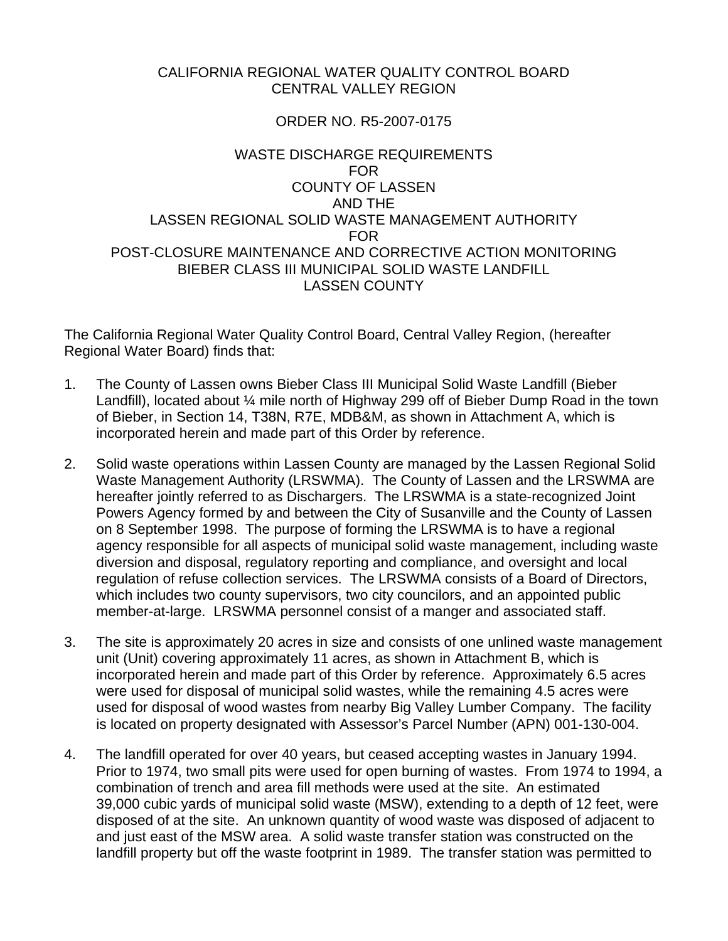## CALIFORNIA REGIONAL WATER QUALITY CONTROL BOARD CENTRAL VALLEY REGION

## ORDER NO. R5-2007-0175

## WASTE DISCHARGE REQUIREMENTS FOR COUNTY OF LASSEN AND THE LASSEN REGIONAL SOLID WASTE MANAGEMENT AUTHORITY FOR POST-CLOSURE MAINTENANCE AND CORRECTIVE ACTION MONITORING BIEBER CLASS III MUNICIPAL SOLID WASTE LANDFILL LASSEN COUNTY

The California Regional Water Quality Control Board, Central Valley Region, (hereafter Regional Water Board) finds that:

- 1. The County of Lassen owns Bieber Class III Municipal Solid Waste Landfill (Bieber Landfill), located about ¼ mile north of Highway 299 off of Bieber Dump Road in the town of Bieber, in Section 14, T38N, R7E, MDB&M, as shown in Attachment A, which is incorporated herein and made part of this Order by reference.
- 2. Solid waste operations within Lassen County are managed by the Lassen Regional Solid Waste Management Authority (LRSWMA). The County of Lassen and the LRSWMA are hereafter jointly referred to as Dischargers. The LRSWMA is a state-recognized Joint Powers Agency formed by and between the City of Susanville and the County of Lassen on 8 September 1998. The purpose of forming the LRSWMA is to have a regional agency responsible for all aspects of municipal solid waste management, including waste diversion and disposal, regulatory reporting and compliance, and oversight and local regulation of refuse collection services. The LRSWMA consists of a Board of Directors, which includes two county supervisors, two city councilors, and an appointed public member-at-large. LRSWMA personnel consist of a manger and associated staff.
- 3. The site is approximately 20 acres in size and consists of one unlined waste management unit (Unit) covering approximately 11 acres, as shown in Attachment B, which is incorporated herein and made part of this Order by reference. Approximately 6.5 acres were used for disposal of municipal solid wastes, while the remaining 4.5 acres were used for disposal of wood wastes from nearby Big Valley Lumber Company. The facility is located on property designated with Assessor's Parcel Number (APN) 001-130-004.
- 4. The landfill operated for over 40 years, but ceased accepting wastes in January 1994. Prior to 1974, two small pits were used for open burning of wastes. From 1974 to 1994, a combination of trench and area fill methods were used at the site. An estimated 39,000 cubic yards of municipal solid waste (MSW), extending to a depth of 12 feet, were disposed of at the site. An unknown quantity of wood waste was disposed of adjacent to and just east of the MSW area. A solid waste transfer station was constructed on the landfill property but off the waste footprint in 1989. The transfer station was permitted to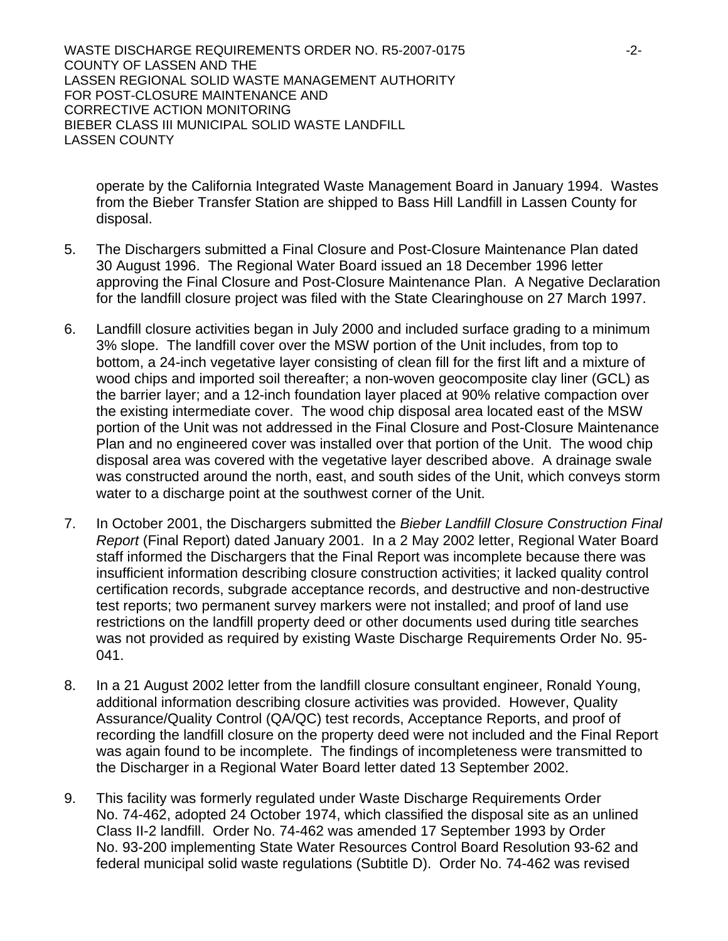operate by the California Integrated Waste Management Board in January 1994. Wastes from the Bieber Transfer Station are shipped to Bass Hill Landfill in Lassen County for disposal.

- 5. The Dischargers submitted a Final Closure and Post-Closure Maintenance Plan dated 30 August 1996. The Regional Water Board issued an 18 December 1996 letter approving the Final Closure and Post-Closure Maintenance Plan. A Negative Declaration for the landfill closure project was filed with the State Clearinghouse on 27 March 1997.
- 6. Landfill closure activities began in July 2000 and included surface grading to a minimum 3% slope. The landfill cover over the MSW portion of the Unit includes, from top to bottom, a 24-inch vegetative layer consisting of clean fill for the first lift and a mixture of wood chips and imported soil thereafter; a non-woven geocomposite clay liner (GCL) as the barrier layer; and a 12-inch foundation layer placed at 90% relative compaction over the existing intermediate cover. The wood chip disposal area located east of the MSW portion of the Unit was not addressed in the Final Closure and Post-Closure Maintenance Plan and no engineered cover was installed over that portion of the Unit. The wood chip disposal area was covered with the vegetative layer described above. A drainage swale was constructed around the north, east, and south sides of the Unit, which conveys storm water to a discharge point at the southwest corner of the Unit.
- 7. In October 2001, the Dischargers submitted the *Bieber Landfill Closure Construction Final Report* (Final Report) dated January 2001. In a 2 May 2002 letter, Regional Water Board staff informed the Dischargers that the Final Report was incomplete because there was insufficient information describing closure construction activities; it lacked quality control certification records, subgrade acceptance records, and destructive and non-destructive test reports; two permanent survey markers were not installed; and proof of land use restrictions on the landfill property deed or other documents used during title searches was not provided as required by existing Waste Discharge Requirements Order No. 95- 041.
- 8. In a 21 August 2002 letter from the landfill closure consultant engineer, Ronald Young, additional information describing closure activities was provided. However, Quality Assurance/Quality Control (QA/QC) test records, Acceptance Reports, and proof of recording the landfill closure on the property deed were not included and the Final Report was again found to be incomplete. The findings of incompleteness were transmitted to the Discharger in a Regional Water Board letter dated 13 September 2002.
- 9. This facility was formerly regulated under Waste Discharge Requirements Order No. 74-462, adopted 24 October 1974, which classified the disposal site as an unlined Class II-2 landfill. Order No. 74-462 was amended 17 September 1993 by Order No. 93-200 implementing State Water Resources Control Board Resolution 93-62 and federal municipal solid waste regulations (Subtitle D). Order No. 74-462 was revised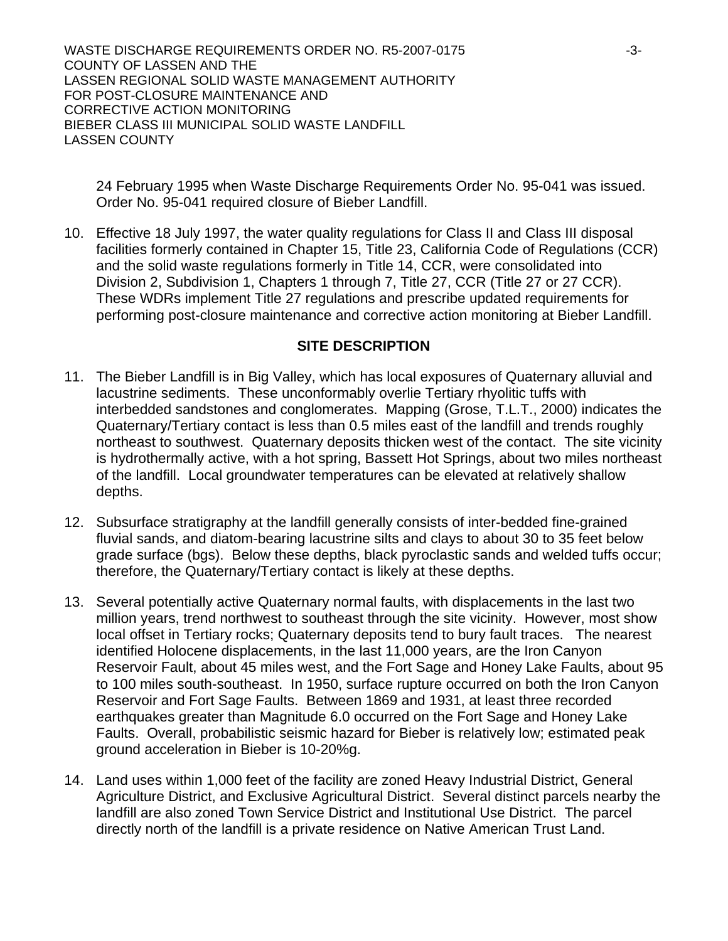24 February 1995 when Waste Discharge Requirements Order No. 95-041 was issued. Order No. 95-041 required closure of Bieber Landfill.

10. Effective 18 July 1997, the water quality regulations for Class II and Class III disposal facilities formerly contained in Chapter 15, Title 23, California Code of Regulations (CCR) and the solid waste regulations formerly in Title 14, CCR, were consolidated into Division 2, Subdivision 1, Chapters 1 through 7, Title 27, CCR (Title 27 or 27 CCR). These WDRs implement Title 27 regulations and prescribe updated requirements for performing post-closure maintenance and corrective action monitoring at Bieber Landfill.

### **SITE DESCRIPTION**

- 11. The Bieber Landfill is in Big Valley, which has local exposures of Quaternary alluvial and lacustrine sediments. These unconformably overlie Tertiary rhyolitic tuffs with interbedded sandstones and conglomerates. Mapping (Grose, T.L.T., 2000) indicates the Quaternary/Tertiary contact is less than 0.5 miles east of the landfill and trends roughly northeast to southwest. Quaternary deposits thicken west of the contact. The site vicinity is hydrothermally active, with a hot spring, Bassett Hot Springs, about two miles northeast of the landfill. Local groundwater temperatures can be elevated at relatively shallow depths.
- 12. Subsurface stratigraphy at the landfill generally consists of inter-bedded fine-grained fluvial sands, and diatom-bearing lacustrine silts and clays to about 30 to 35 feet below grade surface (bgs). Below these depths, black pyroclastic sands and welded tuffs occur; therefore, the Quaternary/Tertiary contact is likely at these depths.
- 13. Several potentially active Quaternary normal faults, with displacements in the last two million years, trend northwest to southeast through the site vicinity. However, most show local offset in Tertiary rocks; Quaternary deposits tend to bury fault traces. The nearest identified Holocene displacements, in the last 11,000 years, are the Iron Canyon Reservoir Fault, about 45 miles west, and the Fort Sage and Honey Lake Faults, about 95 to 100 miles south-southeast. In 1950, surface rupture occurred on both the Iron Canyon Reservoir and Fort Sage Faults. Between 1869 and 1931, at least three recorded earthquakes greater than Magnitude 6.0 occurred on the Fort Sage and Honey Lake Faults. Overall, probabilistic seismic hazard for Bieber is relatively low; estimated peak ground acceleration in Bieber is 10-20%g.
- 14. Land uses within 1,000 feet of the facility are zoned Heavy Industrial District, General Agriculture District, and Exclusive Agricultural District. Several distinct parcels nearby the landfill are also zoned Town Service District and Institutional Use District. The parcel directly north of the landfill is a private residence on Native American Trust Land.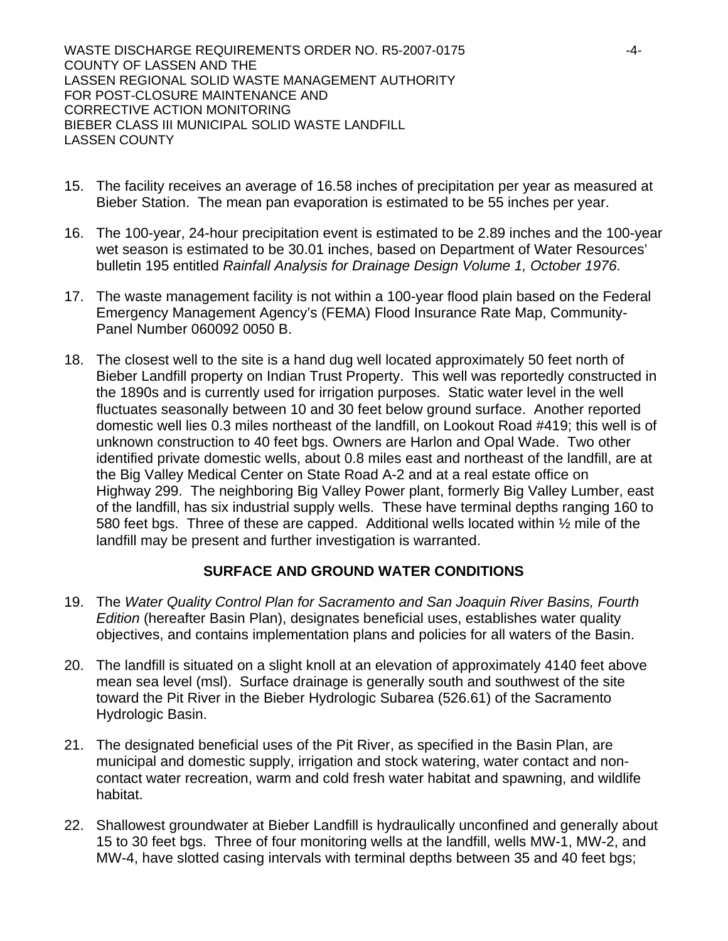- 15. The facility receives an average of 16.58 inches of precipitation per year as measured at Bieber Station. The mean pan evaporation is estimated to be 55 inches per year.
- 16. The 100-year, 24-hour precipitation event is estimated to be 2.89 inches and the 100-year wet season is estimated to be 30.01 inches, based on Department of Water Resources' bulletin 195 entitled *Rainfall Analysis for Drainage Design Volume 1, October 1976*.
- 17. The waste management facility is not within a 100-year flood plain based on the Federal Emergency Management Agency's (FEMA) Flood Insurance Rate Map, Community-Panel Number 060092 0050 B.
- 18. The closest well to the site is a hand dug well located approximately 50 feet north of Bieber Landfill property on Indian Trust Property. This well was reportedly constructed in the 1890s and is currently used for irrigation purposes. Static water level in the well fluctuates seasonally between 10 and 30 feet below ground surface. Another reported domestic well lies 0.3 miles northeast of the landfill, on Lookout Road #419; this well is of unknown construction to 40 feet bgs. Owners are Harlon and Opal Wade. Two other identified private domestic wells, about 0.8 miles east and northeast of the landfill, are at the Big Valley Medical Center on State Road A-2 and at a real estate office on Highway 299. The neighboring Big Valley Power plant, formerly Big Valley Lumber, east of the landfill, has six industrial supply wells. These have terminal depths ranging 160 to 580 feet bgs. Three of these are capped. Additional wells located within ½ mile of the landfill may be present and further investigation is warranted.

## **SURFACE AND GROUND WATER CONDITIONS**

- 19. The *Water Quality Control Plan for Sacramento and San Joaquin River Basins, Fourth Edition* (hereafter Basin Plan), designates beneficial uses, establishes water quality objectives, and contains implementation plans and policies for all waters of the Basin.
- 20. The landfill is situated on a slight knoll at an elevation of approximately 4140 feet above mean sea level (msl). Surface drainage is generally south and southwest of the site toward the Pit River in the Bieber Hydrologic Subarea (526.61) of the Sacramento Hydrologic Basin.
- 21. The designated beneficial uses of the Pit River, as specified in the Basin Plan, are municipal and domestic supply, irrigation and stock watering, water contact and noncontact water recreation, warm and cold fresh water habitat and spawning, and wildlife habitat.
- 22. Shallowest groundwater at Bieber Landfill is hydraulically unconfined and generally about 15 to 30 feet bgs. Three of four monitoring wells at the landfill, wells MW-1, MW-2, and MW-4, have slotted casing intervals with terminal depths between 35 and 40 feet bgs;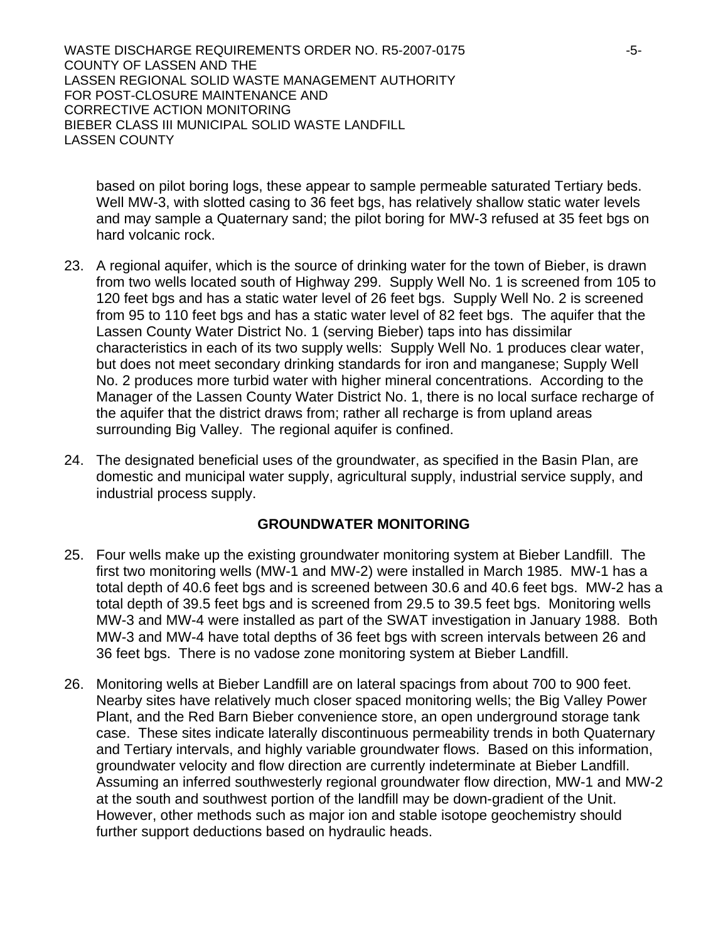based on pilot boring logs, these appear to sample permeable saturated Tertiary beds. Well MW-3, with slotted casing to 36 feet bgs, has relatively shallow static water levels and may sample a Quaternary sand; the pilot boring for MW-3 refused at 35 feet bgs on hard volcanic rock.

- 23. A regional aquifer, which is the source of drinking water for the town of Bieber, is drawn from two wells located south of Highway 299. Supply Well No. 1 is screened from 105 to 120 feet bgs and has a static water level of 26 feet bgs. Supply Well No. 2 is screened from 95 to 110 feet bgs and has a static water level of 82 feet bgs. The aquifer that the Lassen County Water District No. 1 (serving Bieber) taps into has dissimilar characteristics in each of its two supply wells: Supply Well No. 1 produces clear water, but does not meet secondary drinking standards for iron and manganese; Supply Well No. 2 produces more turbid water with higher mineral concentrations. According to the Manager of the Lassen County Water District No. 1, there is no local surface recharge of the aquifer that the district draws from; rather all recharge is from upland areas surrounding Big Valley. The regional aquifer is confined.
- 24. The designated beneficial uses of the groundwater, as specified in the Basin Plan, are domestic and municipal water supply, agricultural supply, industrial service supply, and industrial process supply.

### **GROUNDWATER MONITORING**

- 25. Four wells make up the existing groundwater monitoring system at Bieber Landfill. The first two monitoring wells (MW-1 and MW-2) were installed in March 1985. MW-1 has a total depth of 40.6 feet bgs and is screened between 30.6 and 40.6 feet bgs. MW-2 has a total depth of 39.5 feet bgs and is screened from 29.5 to 39.5 feet bgs. Monitoring wells MW-3 and MW-4 were installed as part of the SWAT investigation in January 1988. Both MW-3 and MW-4 have total depths of 36 feet bgs with screen intervals between 26 and 36 feet bgs. There is no vadose zone monitoring system at Bieber Landfill.
- 26. Monitoring wells at Bieber Landfill are on lateral spacings from about 700 to 900 feet. Nearby sites have relatively much closer spaced monitoring wells; the Big Valley Power Plant, and the Red Barn Bieber convenience store, an open underground storage tank case. These sites indicate laterally discontinuous permeability trends in both Quaternary and Tertiary intervals, and highly variable groundwater flows. Based on this information, groundwater velocity and flow direction are currently indeterminate at Bieber Landfill. Assuming an inferred southwesterly regional groundwater flow direction, MW-1 and MW-2 at the south and southwest portion of the landfill may be down-gradient of the Unit. However, other methods such as major ion and stable isotope geochemistry should further support deductions based on hydraulic heads.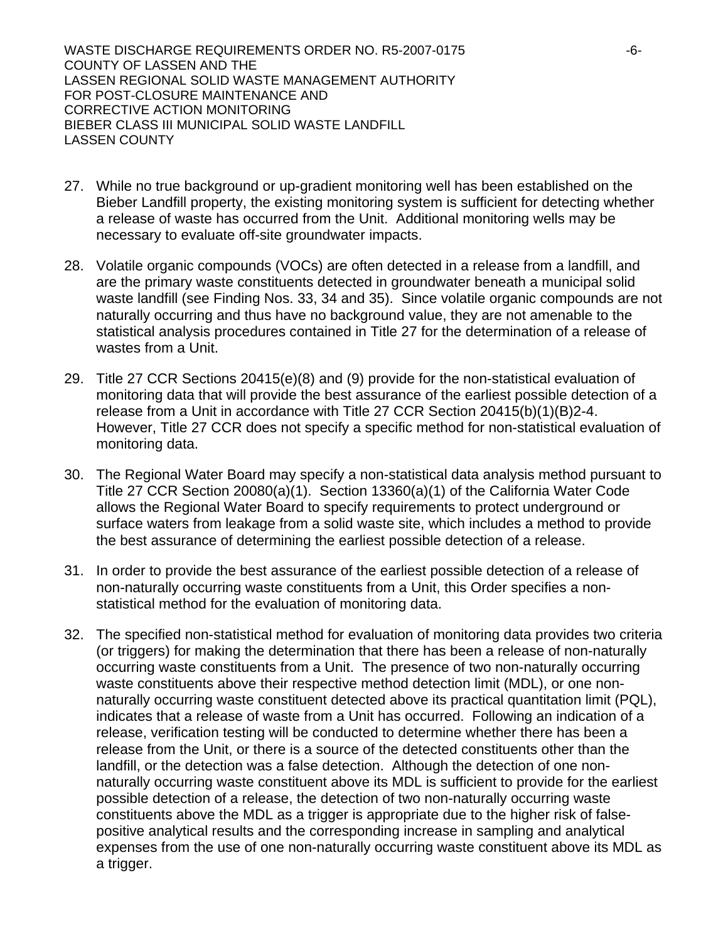- 27. While no true background or up-gradient monitoring well has been established on the Bieber Landfill property, the existing monitoring system is sufficient for detecting whether a release of waste has occurred from the Unit. Additional monitoring wells may be necessary to evaluate off-site groundwater impacts.
- 28. Volatile organic compounds (VOCs) are often detected in a release from a landfill, and are the primary waste constituents detected in groundwater beneath a municipal solid waste landfill (see Finding Nos. 33, 34 and 35). Since volatile organic compounds are not naturally occurring and thus have no background value, they are not amenable to the statistical analysis procedures contained in Title 27 for the determination of a release of wastes from a Unit.
- 29. Title 27 CCR Sections 20415(e)(8) and (9) provide for the non-statistical evaluation of monitoring data that will provide the best assurance of the earliest possible detection of a release from a Unit in accordance with Title 27 CCR Section 20415(b)(1)(B)2-4. However, Title 27 CCR does not specify a specific method for non-statistical evaluation of monitoring data.
- 30. The Regional Water Board may specify a non-statistical data analysis method pursuant to Title 27 CCR Section 20080(a)(1). Section 13360(a)(1) of the California Water Code allows the Regional Water Board to specify requirements to protect underground or surface waters from leakage from a solid waste site, which includes a method to provide the best assurance of determining the earliest possible detection of a release.
- 31. In order to provide the best assurance of the earliest possible detection of a release of non-naturally occurring waste constituents from a Unit, this Order specifies a nonstatistical method for the evaluation of monitoring data.
- 32. The specified non-statistical method for evaluation of monitoring data provides two criteria (or triggers) for making the determination that there has been a release of non-naturally occurring waste constituents from a Unit. The presence of two non-naturally occurring waste constituents above their respective method detection limit (MDL), or one nonnaturally occurring waste constituent detected above its practical quantitation limit (PQL), indicates that a release of waste from a Unit has occurred. Following an indication of a release, verification testing will be conducted to determine whether there has been a release from the Unit, or there is a source of the detected constituents other than the landfill, or the detection was a false detection. Although the detection of one nonnaturally occurring waste constituent above its MDL is sufficient to provide for the earliest possible detection of a release, the detection of two non-naturally occurring waste constituents above the MDL as a trigger is appropriate due to the higher risk of falsepositive analytical results and the corresponding increase in sampling and analytical expenses from the use of one non-naturally occurring waste constituent above its MDL as a trigger.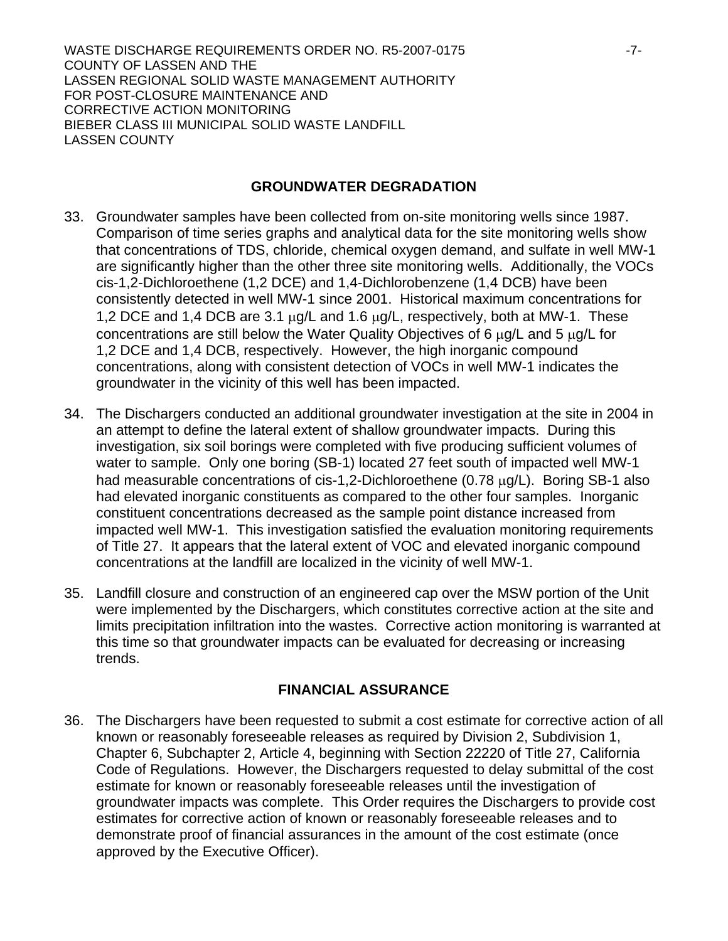### **GROUNDWATER DEGRADATION**

- 33. Groundwater samples have been collected from on-site monitoring wells since 1987. Comparison of time series graphs and analytical data for the site monitoring wells show that concentrations of TDS, chloride, chemical oxygen demand, and sulfate in well MW-1 are significantly higher than the other three site monitoring wells. Additionally, the VOCs cis-1,2-Dichloroethene (1,2 DCE) and 1,4-Dichlorobenzene (1,4 DCB) have been consistently detected in well MW-1 since 2001. Historical maximum concentrations for 1,2 DCE and 1,4 DCB are 3.1 μg/L and 1.6 μg/L, respectively, both at MW-1. These concentrations are still below the Water Quality Objectives of 6 μg/L and 5 μg/L for 1,2 DCE and 1,4 DCB, respectively. However, the high inorganic compound concentrations, along with consistent detection of VOCs in well MW-1 indicates the groundwater in the vicinity of this well has been impacted.
- 34. The Dischargers conducted an additional groundwater investigation at the site in 2004 in an attempt to define the lateral extent of shallow groundwater impacts. During this investigation, six soil borings were completed with five producing sufficient volumes of water to sample. Only one boring (SB-1) located 27 feet south of impacted well MW-1 had measurable concentrations of cis-1,2-Dichloroethene (0.78 μg/L). Boring SB-1 also had elevated inorganic constituents as compared to the other four samples. Inorganic constituent concentrations decreased as the sample point distance increased from impacted well MW-1. This investigation satisfied the evaluation monitoring requirements of Title 27. It appears that the lateral extent of VOC and elevated inorganic compound concentrations at the landfill are localized in the vicinity of well MW-1.
- 35. Landfill closure and construction of an engineered cap over the MSW portion of the Unit were implemented by the Dischargers, which constitutes corrective action at the site and limits precipitation infiltration into the wastes. Corrective action monitoring is warranted at this time so that groundwater impacts can be evaluated for decreasing or increasing trends.

### **FINANCIAL ASSURANCE**

36. The Dischargers have been requested to submit a cost estimate for corrective action of all known or reasonably foreseeable releases as required by Division 2, Subdivision 1, Chapter 6, Subchapter 2, Article 4, beginning with Section 22220 of Title 27, California Code of Regulations. However, the Dischargers requested to delay submittal of the cost estimate for known or reasonably foreseeable releases until the investigation of groundwater impacts was complete. This Order requires the Dischargers to provide cost estimates for corrective action of known or reasonably foreseeable releases and to demonstrate proof of financial assurances in the amount of the cost estimate (once approved by the Executive Officer).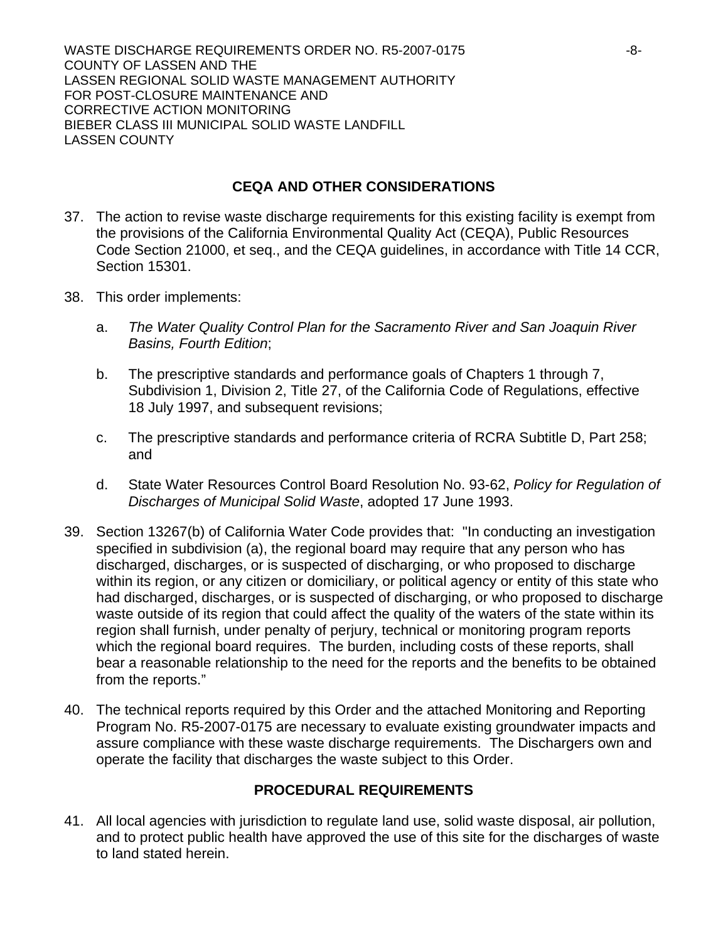## **CEQA AND OTHER CONSIDERATIONS**

- 37. The action to revise waste discharge requirements for this existing facility is exempt from the provisions of the California Environmental Quality Act (CEQA), Public Resources Code Section 21000, et seq., and the CEQA guidelines, in accordance with Title 14 CCR, Section 15301.
- 38. This order implements:
	- a. *The Water Quality Control Plan for the Sacramento River and San Joaquin River Basins, Fourth Edition*;
	- b. The prescriptive standards and performance goals of Chapters 1 through 7, Subdivision 1, Division 2, Title 27, of the California Code of Regulations, effective 18 July 1997, and subsequent revisions;
	- c. The prescriptive standards and performance criteria of RCRA Subtitle D, Part 258; and
	- d. State Water Resources Control Board Resolution No. 93-62, *Policy for Regulation of Discharges of Municipal Solid Waste*, adopted 17 June 1993.
- 39. Section 13267(b) of California Water Code provides that: "In conducting an investigation specified in subdivision (a), the regional board may require that any person who has discharged, discharges, or is suspected of discharging, or who proposed to discharge within its region, or any citizen or domiciliary, or political agency or entity of this state who had discharged, discharges, or is suspected of discharging, or who proposed to discharge waste outside of its region that could affect the quality of the waters of the state within its region shall furnish, under penalty of perjury, technical or monitoring program reports which the regional board requires. The burden, including costs of these reports, shall bear a reasonable relationship to the need for the reports and the benefits to be obtained from the reports."
- 40. The technical reports required by this Order and the attached Monitoring and Reporting Program No. R5-2007-0175 are necessary to evaluate existing groundwater impacts and assure compliance with these waste discharge requirements. The Dischargers own and operate the facility that discharges the waste subject to this Order.

## **PROCEDURAL REQUIREMENTS**

41. All local agencies with jurisdiction to regulate land use, solid waste disposal, air pollution, and to protect public health have approved the use of this site for the discharges of waste to land stated herein.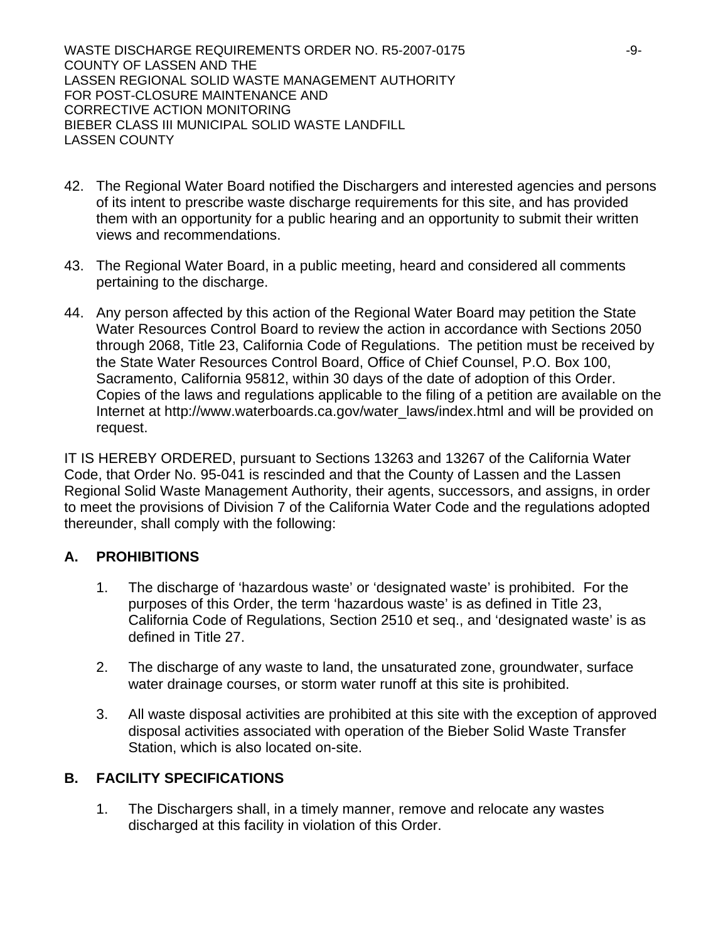- 42. The Regional Water Board notified the Dischargers and interested agencies and persons of its intent to prescribe waste discharge requirements for this site, and has provided them with an opportunity for a public hearing and an opportunity to submit their written views and recommendations.
- 43. The Regional Water Board, in a public meeting, heard and considered all comments pertaining to the discharge.
- 44. Any person affected by this action of the Regional Water Board may petition the State Water Resources Control Board to review the action in accordance with Sections 2050 through 2068, Title 23, California Code of Regulations. The petition must be received by the State Water Resources Control Board, Office of Chief Counsel, P.O. Box 100, Sacramento, California 95812, within 30 days of the date of adoption of this Order. Copies of the laws and regulations applicable to the filing of a petition are available on the Internet at http://www.waterboards.ca.gov/water\_laws/index.html and will be provided on request.

IT IS HEREBY ORDERED, pursuant to Sections 13263 and 13267 of the California Water Code, that Order No. 95-041 is rescinded and that the County of Lassen and the Lassen Regional Solid Waste Management Authority, their agents, successors, and assigns, in order to meet the provisions of Division 7 of the California Water Code and the regulations adopted thereunder, shall comply with the following:

## **A. PROHIBITIONS**

- 1. The discharge of 'hazardous waste' or 'designated waste' is prohibited. For the purposes of this Order, the term 'hazardous waste' is as defined in Title 23, California Code of Regulations, Section 2510 et seq., and 'designated waste' is as defined in Title 27.
- 2. The discharge of any waste to land, the unsaturated zone, groundwater, surface water drainage courses, or storm water runoff at this site is prohibited.
- 3. All waste disposal activities are prohibited at this site with the exception of approved disposal activities associated with operation of the Bieber Solid Waste Transfer Station, which is also located on-site.

## **B. FACILITY SPECIFICATIONS**

1. The Dischargers shall, in a timely manner, remove and relocate any wastes discharged at this facility in violation of this Order.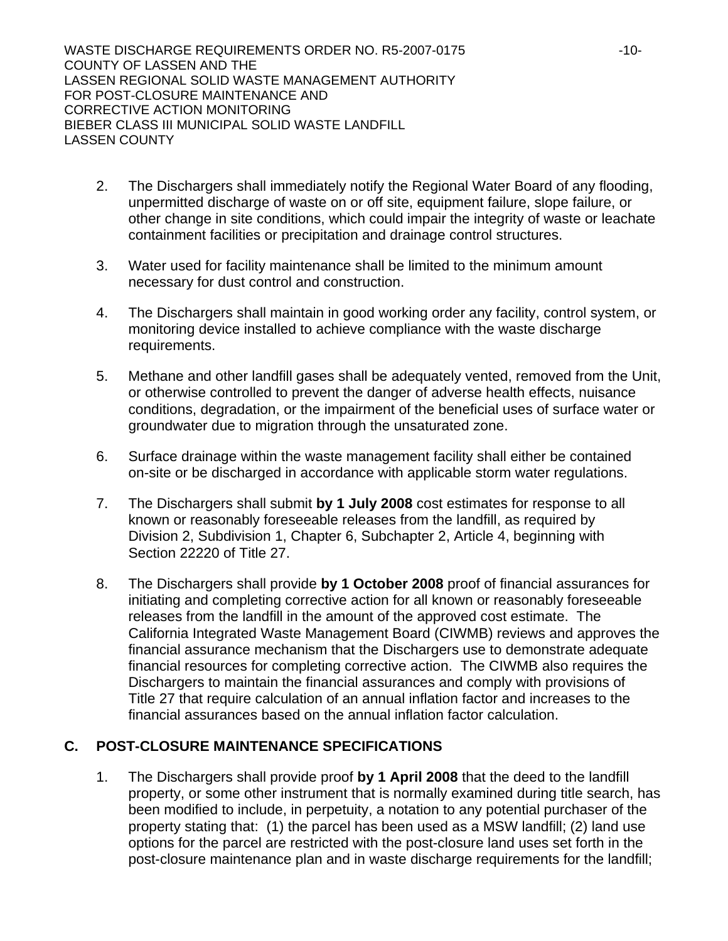- 2. The Dischargers shall immediately notify the Regional Water Board of any flooding, unpermitted discharge of waste on or off site, equipment failure, slope failure, or other change in site conditions, which could impair the integrity of waste or leachate containment facilities or precipitation and drainage control structures.
- 3. Water used for facility maintenance shall be limited to the minimum amount necessary for dust control and construction.
- 4. The Dischargers shall maintain in good working order any facility, control system, or monitoring device installed to achieve compliance with the waste discharge requirements.
- 5. Methane and other landfill gases shall be adequately vented, removed from the Unit, or otherwise controlled to prevent the danger of adverse health effects, nuisance conditions, degradation, or the impairment of the beneficial uses of surface water or groundwater due to migration through the unsaturated zone.
- 6. Surface drainage within the waste management facility shall either be contained on-site or be discharged in accordance with applicable storm water regulations.
- 7. The Dischargers shall submit **by 1 July 2008** cost estimates for response to all known or reasonably foreseeable releases from the landfill, as required by Division 2, Subdivision 1, Chapter 6, Subchapter 2, Article 4, beginning with Section 22220 of Title 27.
- 8. The Dischargers shall provide **by 1 October 2008** proof of financial assurances for initiating and completing corrective action for all known or reasonably foreseeable releases from the landfill in the amount of the approved cost estimate. The California Integrated Waste Management Board (CIWMB) reviews and approves the financial assurance mechanism that the Dischargers use to demonstrate adequate financial resources for completing corrective action. The CIWMB also requires the Dischargers to maintain the financial assurances and comply with provisions of Title 27 that require calculation of an annual inflation factor and increases to the financial assurances based on the annual inflation factor calculation.

## **C. POST-CLOSURE MAINTENANCE SPECIFICATIONS**

1. The Dischargers shall provide proof **by 1 April 2008** that the deed to the landfill property, or some other instrument that is normally examined during title search, has been modified to include, in perpetuity, a notation to any potential purchaser of the property stating that: (1) the parcel has been used as a MSW landfill; (2) land use options for the parcel are restricted with the post-closure land uses set forth in the post-closure maintenance plan and in waste discharge requirements for the landfill;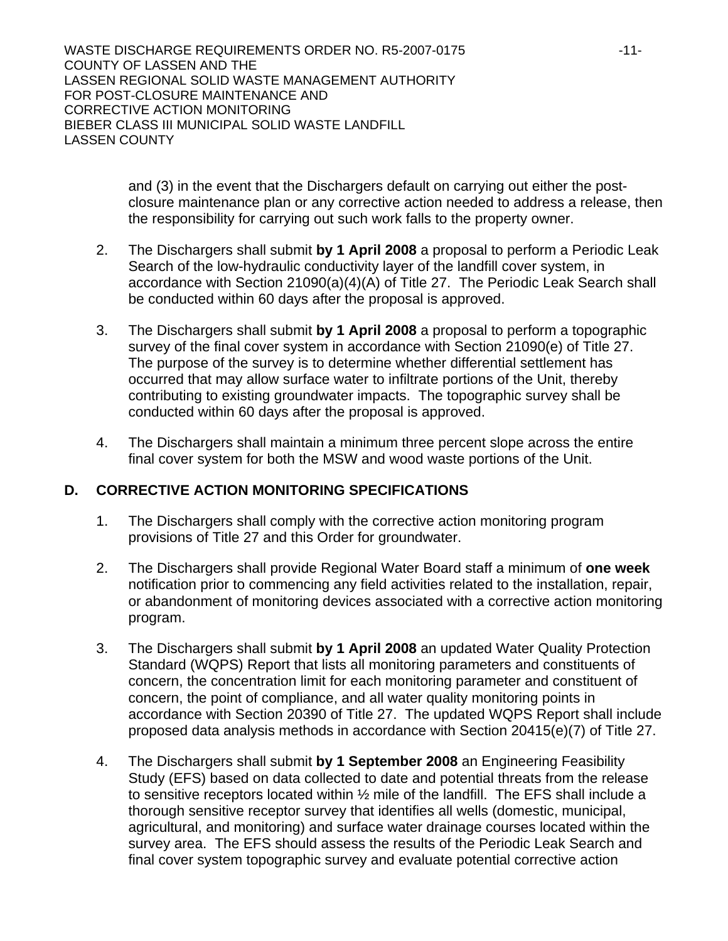> and (3) in the event that the Dischargers default on carrying out either the postclosure maintenance plan or any corrective action needed to address a release, then the responsibility for carrying out such work falls to the property owner.

- 2. The Dischargers shall submit **by 1 April 2008** a proposal to perform a Periodic Leak Search of the low-hydraulic conductivity layer of the landfill cover system, in accordance with Section 21090(a)(4)(A) of Title 27. The Periodic Leak Search shall be conducted within 60 days after the proposal is approved.
- 3. The Dischargers shall submit **by 1 April 2008** a proposal to perform a topographic survey of the final cover system in accordance with Section 21090(e) of Title 27. The purpose of the survey is to determine whether differential settlement has occurred that may allow surface water to infiltrate portions of the Unit, thereby contributing to existing groundwater impacts. The topographic survey shall be conducted within 60 days after the proposal is approved.
- 4. The Dischargers shall maintain a minimum three percent slope across the entire final cover system for both the MSW and wood waste portions of the Unit.

## **D. CORRECTIVE ACTION MONITORING SPECIFICATIONS**

- 1. The Dischargers shall comply with the corrective action monitoring program provisions of Title 27 and this Order for groundwater.
- 2. The Dischargers shall provide Regional Water Board staff a minimum of **one week** notification prior to commencing any field activities related to the installation, repair, or abandonment of monitoring devices associated with a corrective action monitoring program.
- 3. The Dischargers shall submit **by 1 April 2008** an updated Water Quality Protection Standard (WQPS) Report that lists all monitoring parameters and constituents of concern, the concentration limit for each monitoring parameter and constituent of concern, the point of compliance, and all water quality monitoring points in accordance with Section 20390 of Title 27. The updated WQPS Report shall include proposed data analysis methods in accordance with Section 20415(e)(7) of Title 27.
- 4. The Dischargers shall submit **by 1 September 2008** an Engineering Feasibility Study (EFS) based on data collected to date and potential threats from the release to sensitive receptors located within ½ mile of the landfill. The EFS shall include a thorough sensitive receptor survey that identifies all wells (domestic, municipal, agricultural, and monitoring) and surface water drainage courses located within the survey area. The EFS should assess the results of the Periodic Leak Search and final cover system topographic survey and evaluate potential corrective action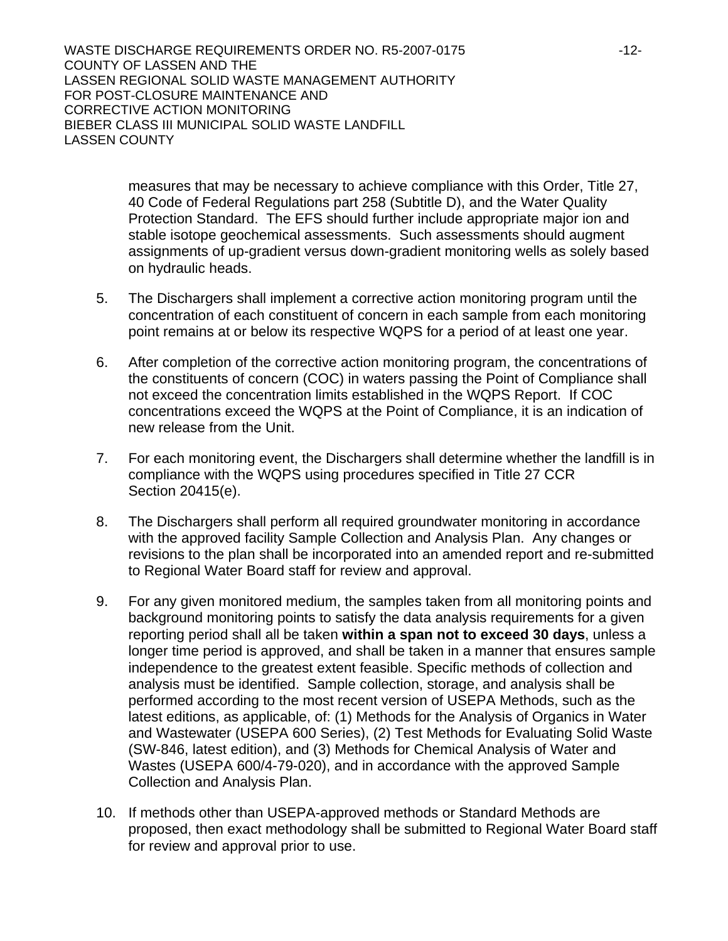> measures that may be necessary to achieve compliance with this Order, Title 27, 40 Code of Federal Regulations part 258 (Subtitle D), and the Water Quality Protection Standard. The EFS should further include appropriate major ion and stable isotope geochemical assessments. Such assessments should augment assignments of up-gradient versus down-gradient monitoring wells as solely based on hydraulic heads.

- 5. The Dischargers shall implement a corrective action monitoring program until the concentration of each constituent of concern in each sample from each monitoring point remains at or below its respective WQPS for a period of at least one year.
- 6. After completion of the corrective action monitoring program, the concentrations of the constituents of concern (COC) in waters passing the Point of Compliance shall not exceed the concentration limits established in the WQPS Report. If COC concentrations exceed the WQPS at the Point of Compliance, it is an indication of new release from the Unit.
- 7. For each monitoring event, the Dischargers shall determine whether the landfill is in compliance with the WQPS using procedures specified in Title 27 CCR Section 20415(e).
- 8. The Dischargers shall perform all required groundwater monitoring in accordance with the approved facility Sample Collection and Analysis Plan. Any changes or revisions to the plan shall be incorporated into an amended report and re-submitted to Regional Water Board staff for review and approval.
- 9. For any given monitored medium, the samples taken from all monitoring points and background monitoring points to satisfy the data analysis requirements for a given reporting period shall all be taken **within a span not to exceed 30 days**, unless a longer time period is approved, and shall be taken in a manner that ensures sample independence to the greatest extent feasible. Specific methods of collection and analysis must be identified. Sample collection, storage, and analysis shall be performed according to the most recent version of USEPA Methods, such as the latest editions, as applicable, of: (1) Methods for the Analysis of Organics in Water and Wastewater (USEPA 600 Series), (2) Test Methods for Evaluating Solid Waste (SW-846, latest edition), and (3) Methods for Chemical Analysis of Water and Wastes (USEPA 600/4-79-020), and in accordance with the approved Sample Collection and Analysis Plan.
- 10. If methods other than USEPA-approved methods or Standard Methods are proposed, then exact methodology shall be submitted to Regional Water Board staff for review and approval prior to use.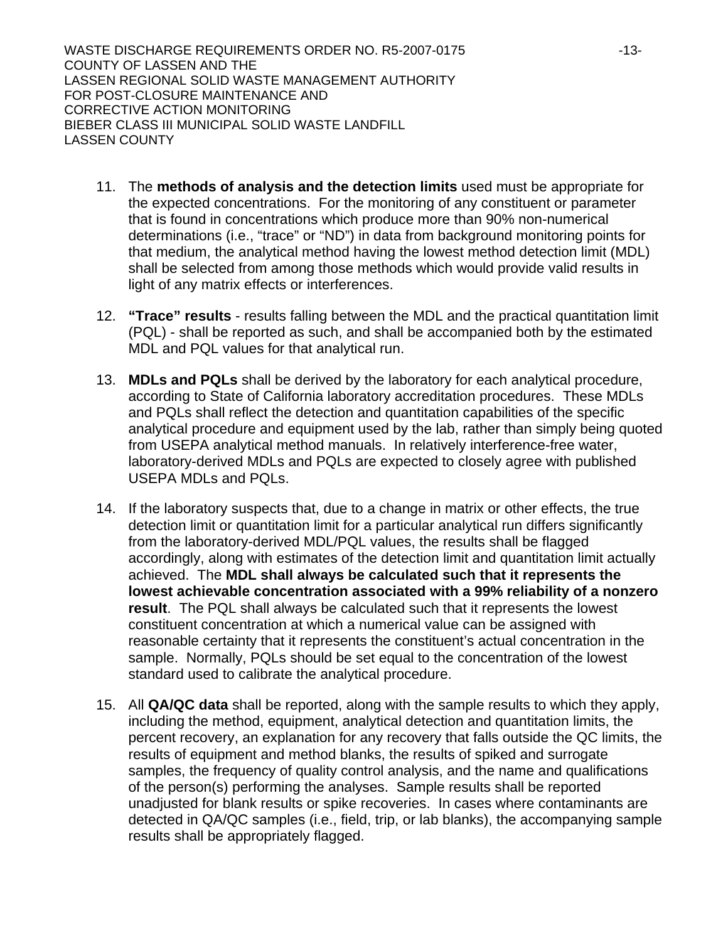- 11. The **methods of analysis and the detection limits** used must be appropriate for the expected concentrations. For the monitoring of any constituent or parameter that is found in concentrations which produce more than 90% non-numerical determinations (i.e., "trace" or "ND") in data from background monitoring points for that medium, the analytical method having the lowest method detection limit (MDL) shall be selected from among those methods which would provide valid results in light of any matrix effects or interferences.
- 12. **"Trace" results** results falling between the MDL and the practical quantitation limit (PQL) - shall be reported as such, and shall be accompanied both by the estimated MDL and PQL values for that analytical run.
- 13. **MDLs and PQLs** shall be derived by the laboratory for each analytical procedure, according to State of California laboratory accreditation procedures. These MDLs and PQLs shall reflect the detection and quantitation capabilities of the specific analytical procedure and equipment used by the lab, rather than simply being quoted from USEPA analytical method manuals. In relatively interference-free water, laboratory-derived MDLs and PQLs are expected to closely agree with published USEPA MDLs and PQLs.
- 14. If the laboratory suspects that, due to a change in matrix or other effects, the true detection limit or quantitation limit for a particular analytical run differs significantly from the laboratory-derived MDL/PQL values, the results shall be flagged accordingly, along with estimates of the detection limit and quantitation limit actually achieved. The **MDL shall always be calculated such that it represents the lowest achievable concentration associated with a 99% reliability of a nonzero result**. The PQL shall always be calculated such that it represents the lowest constituent concentration at which a numerical value can be assigned with reasonable certainty that it represents the constituent's actual concentration in the sample. Normally, PQLs should be set equal to the concentration of the lowest standard used to calibrate the analytical procedure.
- 15. All **QA/QC data** shall be reported, along with the sample results to which they apply, including the method, equipment, analytical detection and quantitation limits, the percent recovery, an explanation for any recovery that falls outside the QC limits, the results of equipment and method blanks, the results of spiked and surrogate samples, the frequency of quality control analysis, and the name and qualifications of the person(s) performing the analyses. Sample results shall be reported unadjusted for blank results or spike recoveries. In cases where contaminants are detected in QA/QC samples (i.e., field, trip, or lab blanks), the accompanying sample results shall be appropriately flagged.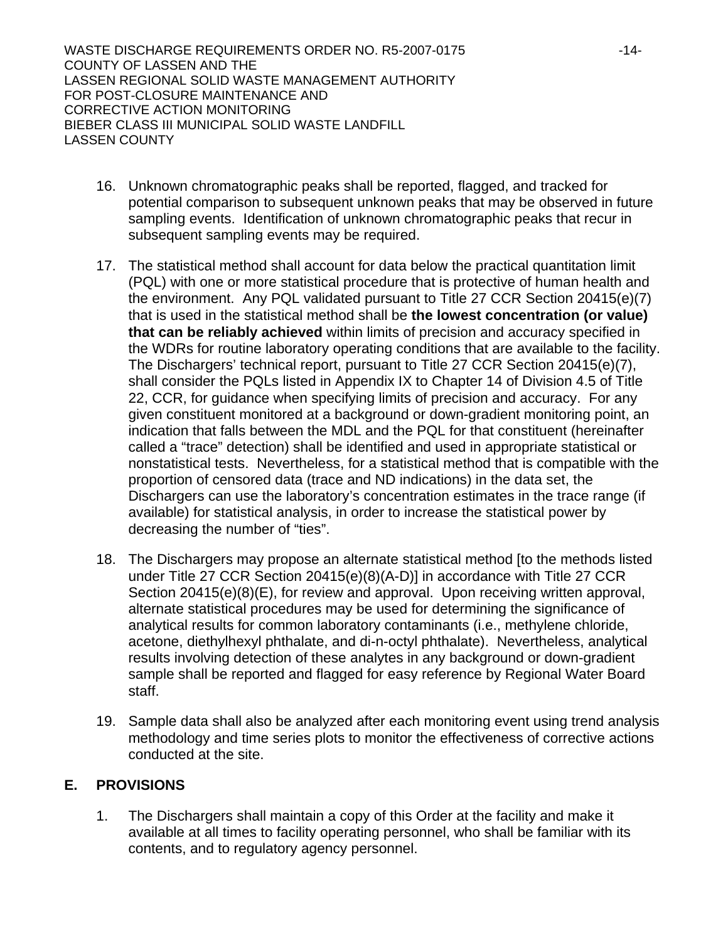- 16. Unknown chromatographic peaks shall be reported, flagged, and tracked for potential comparison to subsequent unknown peaks that may be observed in future sampling events. Identification of unknown chromatographic peaks that recur in subsequent sampling events may be required.
- 17. The statistical method shall account for data below the practical quantitation limit (PQL) with one or more statistical procedure that is protective of human health and the environment. Any PQL validated pursuant to Title 27 CCR Section 20415(e)(7) that is used in the statistical method shall be **the lowest concentration (or value) that can be reliably achieved** within limits of precision and accuracy specified in the WDRs for routine laboratory operating conditions that are available to the facility. The Dischargers' technical report, pursuant to Title 27 CCR Section 20415(e)(7), shall consider the PQLs listed in Appendix IX to Chapter 14 of Division 4.5 of Title 22, CCR, for guidance when specifying limits of precision and accuracy. For any given constituent monitored at a background or down-gradient monitoring point, an indication that falls between the MDL and the PQL for that constituent (hereinafter called a "trace" detection) shall be identified and used in appropriate statistical or nonstatistical tests. Nevertheless, for a statistical method that is compatible with the proportion of censored data (trace and ND indications) in the data set, the Dischargers can use the laboratory's concentration estimates in the trace range (if available) for statistical analysis, in order to increase the statistical power by decreasing the number of "ties".
- 18. The Dischargers may propose an alternate statistical method [to the methods listed under Title 27 CCR Section 20415(e)(8)(A-D)] in accordance with Title 27 CCR Section 20415(e)(8)(E), for review and approval. Upon receiving written approval, alternate statistical procedures may be used for determining the significance of analytical results for common laboratory contaminants (i.e., methylene chloride, acetone, diethylhexyl phthalate, and di-n-octyl phthalate). Nevertheless, analytical results involving detection of these analytes in any background or down-gradient sample shall be reported and flagged for easy reference by Regional Water Board staff.
- 19. Sample data shall also be analyzed after each monitoring event using trend analysis methodology and time series plots to monitor the effectiveness of corrective actions conducted at the site.

# **E. PROVISIONS**

1. The Dischargers shall maintain a copy of this Order at the facility and make it available at all times to facility operating personnel, who shall be familiar with its contents, and to regulatory agency personnel.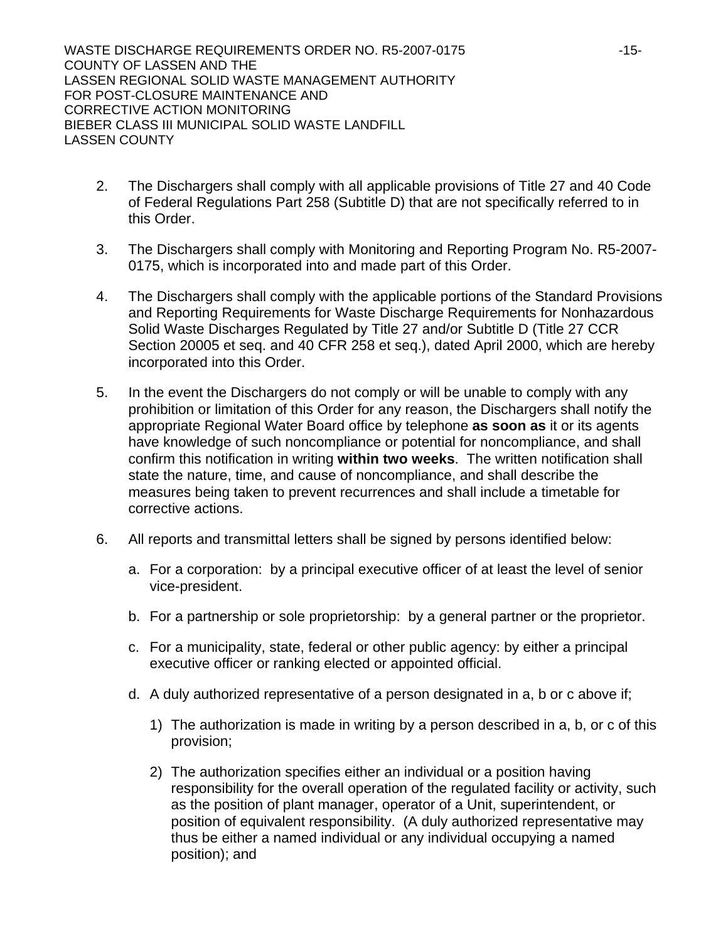- 2. The Dischargers shall comply with all applicable provisions of Title 27 and 40 Code of Federal Regulations Part 258 (Subtitle D) that are not specifically referred to in this Order.
- 3. The Dischargers shall comply with Monitoring and Reporting Program No. R5-2007- 0175, which is incorporated into and made part of this Order.
- 4. The Dischargers shall comply with the applicable portions of the Standard Provisions and Reporting Requirements for Waste Discharge Requirements for Nonhazardous Solid Waste Discharges Regulated by Title 27 and/or Subtitle D (Title 27 CCR Section 20005 et seq. and 40 CFR 258 et seq.), dated April 2000, which are hereby incorporated into this Order.
- 5. In the event the Dischargers do not comply or will be unable to comply with any prohibition or limitation of this Order for any reason, the Dischargers shall notify the appropriate Regional Water Board office by telephone **as soon as** it or its agents have knowledge of such noncompliance or potential for noncompliance, and shall confirm this notification in writing **within two weeks**. The written notification shall state the nature, time, and cause of noncompliance, and shall describe the measures being taken to prevent recurrences and shall include a timetable for corrective actions.
- 6. All reports and transmittal letters shall be signed by persons identified below:
	- a. For a corporation: by a principal executive officer of at least the level of senior vice-president.
	- b. For a partnership or sole proprietorship: by a general partner or the proprietor.
	- c. For a municipality, state, federal or other public agency: by either a principal executive officer or ranking elected or appointed official.
	- d. A duly authorized representative of a person designated in a, b or c above if;
		- 1) The authorization is made in writing by a person described in a, b, or c of this provision;
		- 2) The authorization specifies either an individual or a position having responsibility for the overall operation of the regulated facility or activity, such as the position of plant manager, operator of a Unit, superintendent, or position of equivalent responsibility. (A duly authorized representative may thus be either a named individual or any individual occupying a named position); and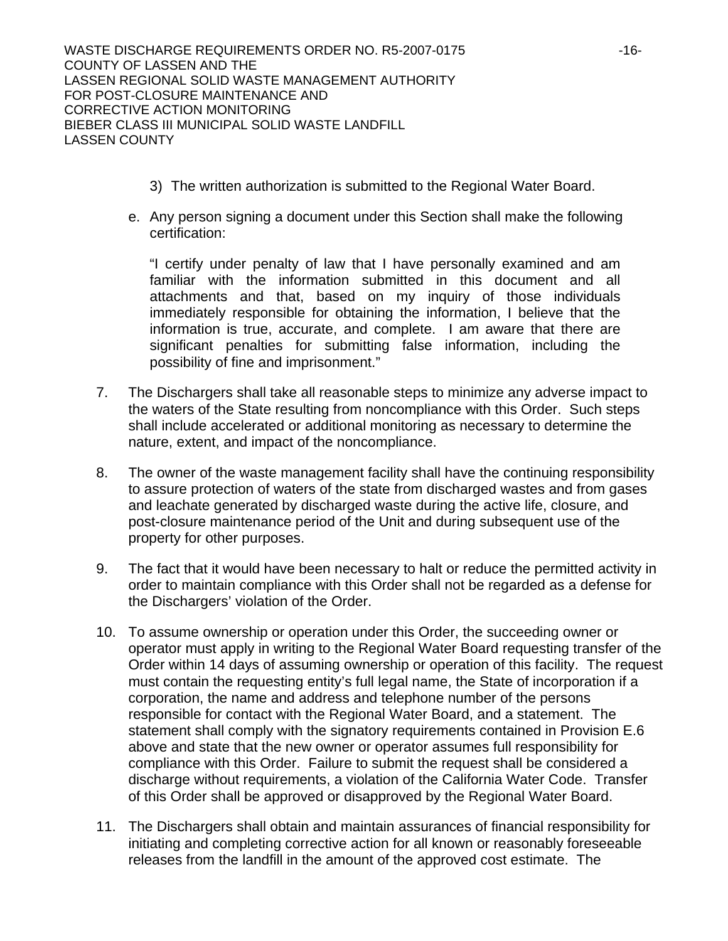- 3) The written authorization is submitted to the Regional Water Board.
- e. Any person signing a document under this Section shall make the following certification:

"I certify under penalty of law that I have personally examined and am familiar with the information submitted in this document and all attachments and that, based on my inquiry of those individuals immediately responsible for obtaining the information, I believe that the information is true, accurate, and complete. I am aware that there are significant penalties for submitting false information, including the possibility of fine and imprisonment."

- 7. The Dischargers shall take all reasonable steps to minimize any adverse impact to the waters of the State resulting from noncompliance with this Order. Such steps shall include accelerated or additional monitoring as necessary to determine the nature, extent, and impact of the noncompliance.
- 8. The owner of the waste management facility shall have the continuing responsibility to assure protection of waters of the state from discharged wastes and from gases and leachate generated by discharged waste during the active life, closure, and post-closure maintenance period of the Unit and during subsequent use of the property for other purposes.
- 9. The fact that it would have been necessary to halt or reduce the permitted activity in order to maintain compliance with this Order shall not be regarded as a defense for the Dischargers' violation of the Order.
- 10. To assume ownership or operation under this Order, the succeeding owner or operator must apply in writing to the Regional Water Board requesting transfer of the Order within 14 days of assuming ownership or operation of this facility. The request must contain the requesting entity's full legal name, the State of incorporation if a corporation, the name and address and telephone number of the persons responsible for contact with the Regional Water Board, and a statement. The statement shall comply with the signatory requirements contained in Provision E.6 above and state that the new owner or operator assumes full responsibility for compliance with this Order. Failure to submit the request shall be considered a discharge without requirements, a violation of the California Water Code. Transfer of this Order shall be approved or disapproved by the Regional Water Board.
- 11. The Dischargers shall obtain and maintain assurances of financial responsibility for initiating and completing corrective action for all known or reasonably foreseeable releases from the landfill in the amount of the approved cost estimate. The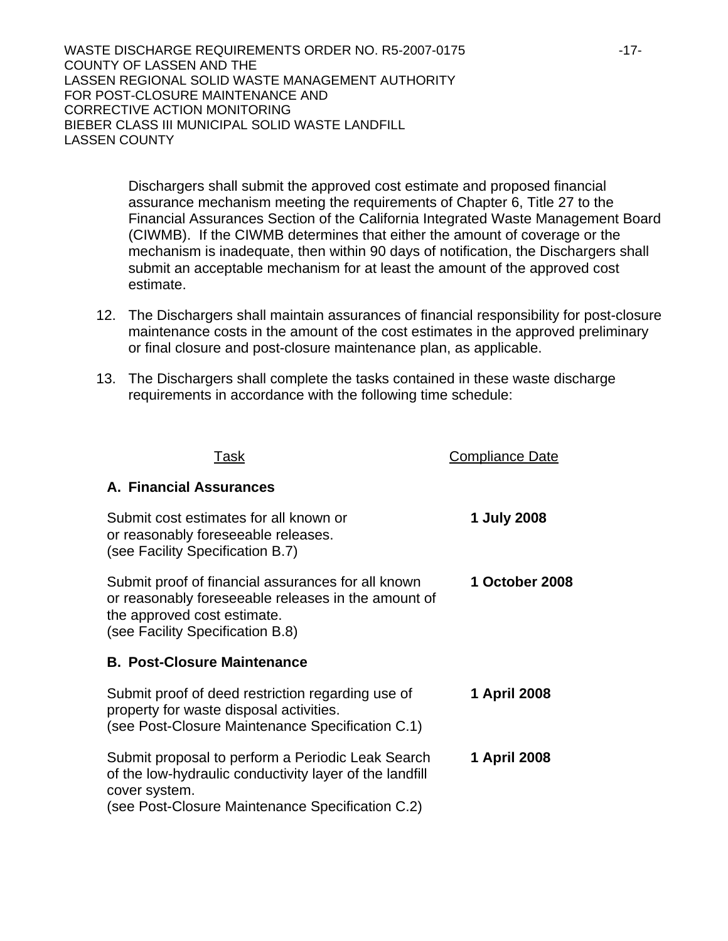> Dischargers shall submit the approved cost estimate and proposed financial assurance mechanism meeting the requirements of Chapter 6, Title 27 to the Financial Assurances Section of the California Integrated Waste Management Board (CIWMB). If the CIWMB determines that either the amount of coverage or the mechanism is inadequate, then within 90 days of notification, the Dischargers shall submit an acceptable mechanism for at least the amount of the approved cost estimate.

- 12. The Dischargers shall maintain assurances of financial responsibility for post-closure maintenance costs in the amount of the cost estimates in the approved preliminary or final closure and post-closure maintenance plan, as applicable.
- 13. The Dischargers shall complete the tasks contained in these waste discharge requirements in accordance with the following time schedule:

| Task                                                                                                                                                                         | Compliance Date |
|------------------------------------------------------------------------------------------------------------------------------------------------------------------------------|-----------------|
| A. Financial Assurances                                                                                                                                                      |                 |
| Submit cost estimates for all known or<br>or reasonably foreseeable releases.<br>(see Facility Specification B.7)                                                            | 1 July 2008     |
| Submit proof of financial assurances for all known<br>or reasonably foreseeable releases in the amount of<br>the approved cost estimate.<br>(see Facility Specification B.8) | 1 October 2008  |
| <b>B. Post-Closure Maintenance</b>                                                                                                                                           |                 |
| Submit proof of deed restriction regarding use of<br>property for waste disposal activities.<br>(see Post-Closure Maintenance Specification C.1)                             | 1 April 2008    |
| Submit proposal to perform a Periodic Leak Search<br>of the low-hydraulic conductivity layer of the landfill<br>cover system.                                                | 1 April 2008    |
| (see Post-Closure Maintenance Specification C.2)                                                                                                                             |                 |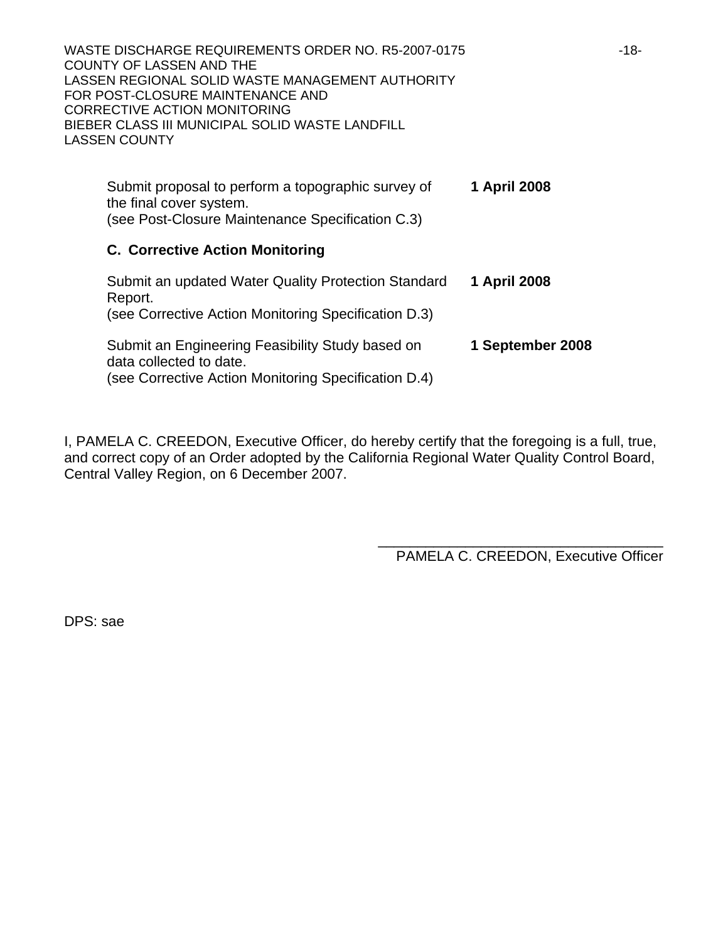| WASTE DISCHARGE REQUIREMENTS ORDER NO. R5-2007-0175<br><b>COUNTY OF LASSEN AND THE</b><br>LASSEN REGIONAL SOLID WASTE MANAGEMENT AUTHORITY<br>FOR POST-CLOSURE MAINTENANCE AND<br>CORRECTIVE ACTION MONITORING<br>BIEBER CLASS III MUNICIPAL SOLID WASTE LANDFILL<br><b>LASSEN COUNTY</b> |                  | $-18-$ |
|-------------------------------------------------------------------------------------------------------------------------------------------------------------------------------------------------------------------------------------------------------------------------------------------|------------------|--------|
| Submit proposal to perform a topographic survey of<br>the final cover system.<br>(see Post-Closure Maintenance Specification C.3)                                                                                                                                                         | 1 April 2008     |        |
| <b>C. Corrective Action Monitoring</b>                                                                                                                                                                                                                                                    |                  |        |
| Submit an updated Water Quality Protection Standard<br>Report.<br>(see Corrective Action Monitoring Specification D.3)                                                                                                                                                                    | 1 April 2008     |        |
| Submit an Engineering Feasibility Study based on<br>data collected to date.<br>(see Corrective Action Monitoring Specification D.4)                                                                                                                                                       | 1 September 2008 |        |

I, PAMELA C. CREEDON, Executive Officer, do hereby certify that the foregoing is a full, true, and correct copy of an Order adopted by the California Regional Water Quality Control Board, Central Valley Region, on 6 December 2007.

> \_\_\_\_\_\_\_\_\_\_\_\_\_\_\_\_\_\_\_\_\_\_\_\_\_\_\_\_\_\_\_\_\_\_\_\_ PAMELA C. CREEDON, Executive Officer

DPS: sae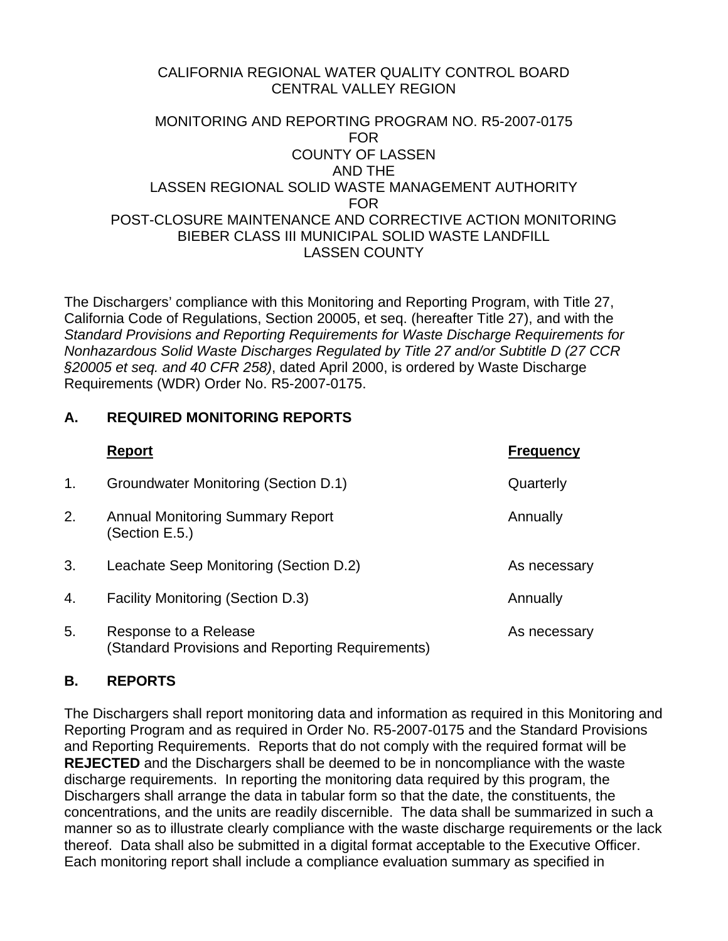# CALIFORNIA REGIONAL WATER QUALITY CONTROL BOARD CENTRAL VALLEY REGION

### MONITORING AND REPORTING PROGRAM NO. R5-2007-0175 FOR COUNTY OF LASSEN AND THE LASSEN REGIONAL SOLID WASTE MANAGEMENT AUTHORITY FOR POST-CLOSURE MAINTENANCE AND CORRECTIVE ACTION MONITORING BIEBER CLASS III MUNICIPAL SOLID WASTE LANDFILL LASSEN COUNTY

The Dischargers' compliance with this Monitoring and Reporting Program, with Title 27, California Code of Regulations, Section 20005, et seq. (hereafter Title 27), and with the *Standard Provisions and Reporting Requirements for Waste Discharge Requirements for Nonhazardous Solid Waste Discharges Regulated by Title 27 and/or Subtitle D (27 CCR §20005 et seq. and 40 CFR 258)*, dated April 2000, is ordered by Waste Discharge Requirements (WDR) Order No. R5-2007-0175.

# **A. REQUIRED MONITORING REPORTS**

|                | <b>Report</b>                                                                   | <b>Frequency</b> |
|----------------|---------------------------------------------------------------------------------|------------------|
| $\mathbf{1}$ . | Groundwater Monitoring (Section D.1)                                            | Quarterly        |
| 2.             | <b>Annual Monitoring Summary Report</b><br>(Section E.5.)                       | Annually         |
| 3.             | Leachate Seep Monitoring (Section D.2)                                          | As necessary     |
| 4.             | <b>Facility Monitoring (Section D.3)</b>                                        | Annually         |
| 5.             | Response to a Release<br><b>Standard Provisions and Reporting Requirements)</b> | As necessary     |

## **B. REPORTS**

The Dischargers shall report monitoring data and information as required in this Monitoring and Reporting Program and as required in Order No. R5-2007-0175 and the Standard Provisions and Reporting Requirements. Reports that do not comply with the required format will be **REJECTED** and the Dischargers shall be deemed to be in noncompliance with the waste discharge requirements. In reporting the monitoring data required by this program, the Dischargers shall arrange the data in tabular form so that the date, the constituents, the concentrations, and the units are readily discernible. The data shall be summarized in such a manner so as to illustrate clearly compliance with the waste discharge requirements or the lack thereof. Data shall also be submitted in a digital format acceptable to the Executive Officer. Each monitoring report shall include a compliance evaluation summary as specified in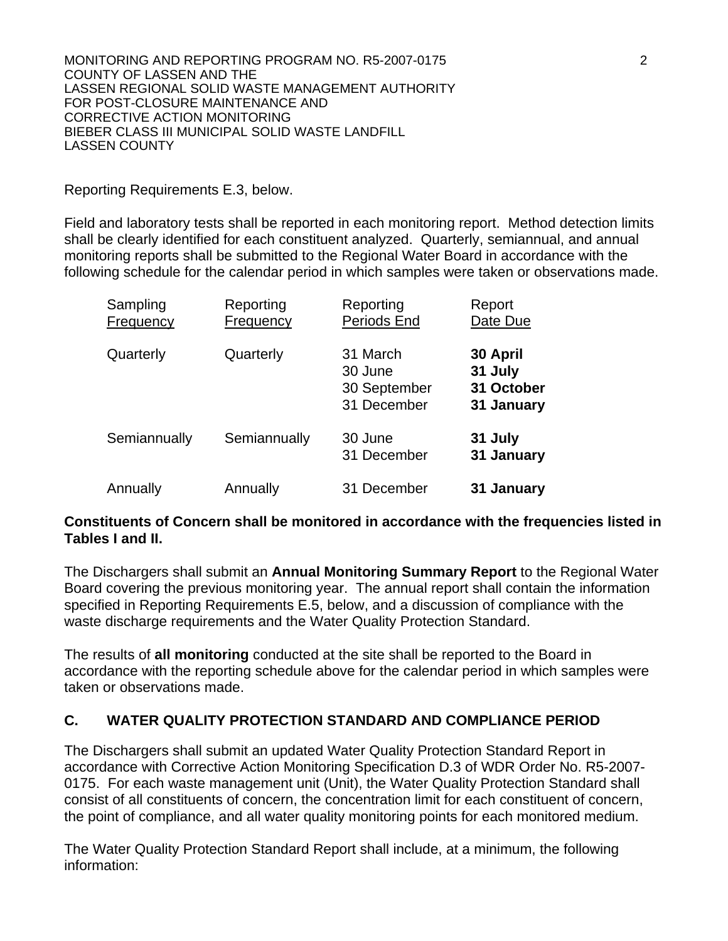Reporting Requirements E.3, below.

Field and laboratory tests shall be reported in each monitoring report. Method detection limits shall be clearly identified for each constituent analyzed. Quarterly, semiannual, and annual monitoring reports shall be submitted to the Regional Water Board in accordance with the following schedule for the calendar period in which samples were taken or observations made.

| Sampling<br>Frequency | Reporting<br>Frequency | Reporting<br>Periods End                           | Report<br>Date Due                              |
|-----------------------|------------------------|----------------------------------------------------|-------------------------------------------------|
| Quarterly             | Quarterly              | 31 March<br>30 June<br>30 September<br>31 December | 30 April<br>31 July<br>31 October<br>31 January |
| Semiannually          | Semiannually           | 30 June<br>31 December                             | 31 July<br>31 January                           |
| Annually              | Annually               | 31 December                                        | 31 January                                      |

# **Constituents of Concern shall be monitored in accordance with the frequencies listed in Tables I and II.**

The Dischargers shall submit an **Annual Monitoring Summary Report** to the Regional Water Board covering the previous monitoring year. The annual report shall contain the information specified in Reporting Requirements E.5, below, and a discussion of compliance with the waste discharge requirements and the Water Quality Protection Standard.

The results of **all monitoring** conducted at the site shall be reported to the Board in accordance with the reporting schedule above for the calendar period in which samples were taken or observations made.

# **C. WATER QUALITY PROTECTION STANDARD AND COMPLIANCE PERIOD**

The Dischargers shall submit an updated Water Quality Protection Standard Report in accordance with Corrective Action Monitoring Specification D.3 of WDR Order No. R5-2007- 0175. For each waste management unit (Unit), the Water Quality Protection Standard shall consist of all constituents of concern, the concentration limit for each constituent of concern, the point of compliance, and all water quality monitoring points for each monitored medium.

The Water Quality Protection Standard Report shall include, at a minimum, the following information: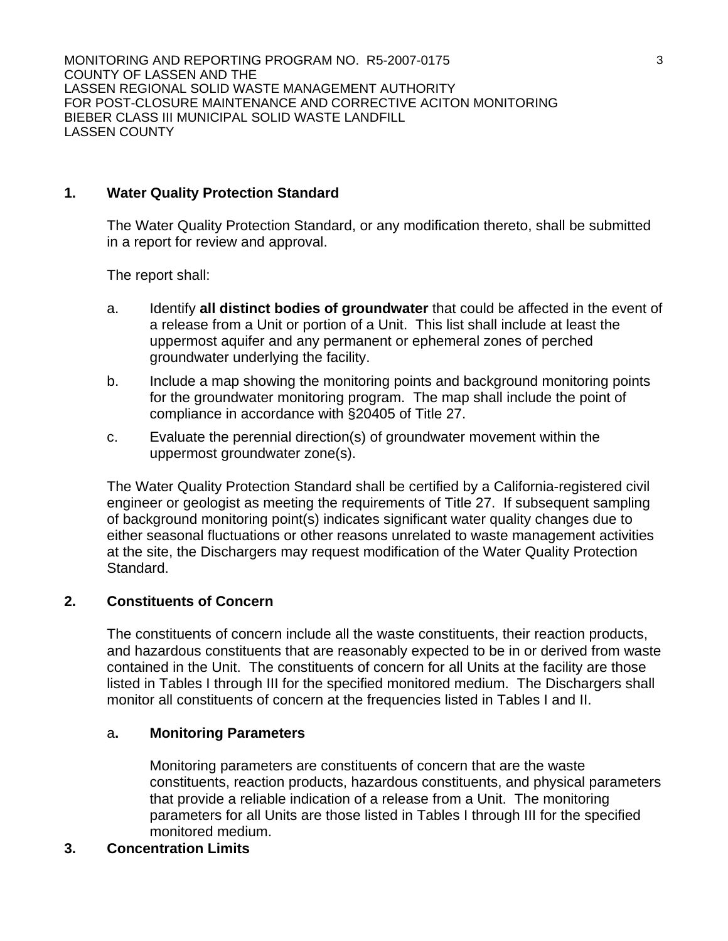### **1. Water Quality Protection Standard**

The Water Quality Protection Standard, or any modification thereto, shall be submitted in a report for review and approval.

The report shall:

- a. Identify **all distinct bodies of groundwater** that could be affected in the event of a release from a Unit or portion of a Unit. This list shall include at least the uppermost aquifer and any permanent or ephemeral zones of perched groundwater underlying the facility.
- b. Include a map showing the monitoring points and background monitoring points for the groundwater monitoring program. The map shall include the point of compliance in accordance with §20405 of Title 27.
- c. Evaluate the perennial direction(s) of groundwater movement within the uppermost groundwater zone(s).

The Water Quality Protection Standard shall be certified by a California-registered civil engineer or geologist as meeting the requirements of Title 27. If subsequent sampling of background monitoring point(s) indicates significant water quality changes due to either seasonal fluctuations or other reasons unrelated to waste management activities at the site, the Dischargers may request modification of the Water Quality Protection Standard.

## **2. Constituents of Concern**

The constituents of concern include all the waste constituents, their reaction products, and hazardous constituents that are reasonably expected to be in or derived from waste contained in the Unit. The constituents of concern for all Units at the facility are those listed in Tables I through III for the specified monitored medium. The Dischargers shall monitor all constituents of concern at the frequencies listed in Tables I and II.

### a**. Monitoring Parameters**

 Monitoring parameters are constituents of concern that are the waste constituents, reaction products, hazardous constituents, and physical parameters that provide a reliable indication of a release from a Unit. The monitoring parameters for all Units are those listed in Tables I through III for the specified monitored medium.

## **3. Concentration Limits**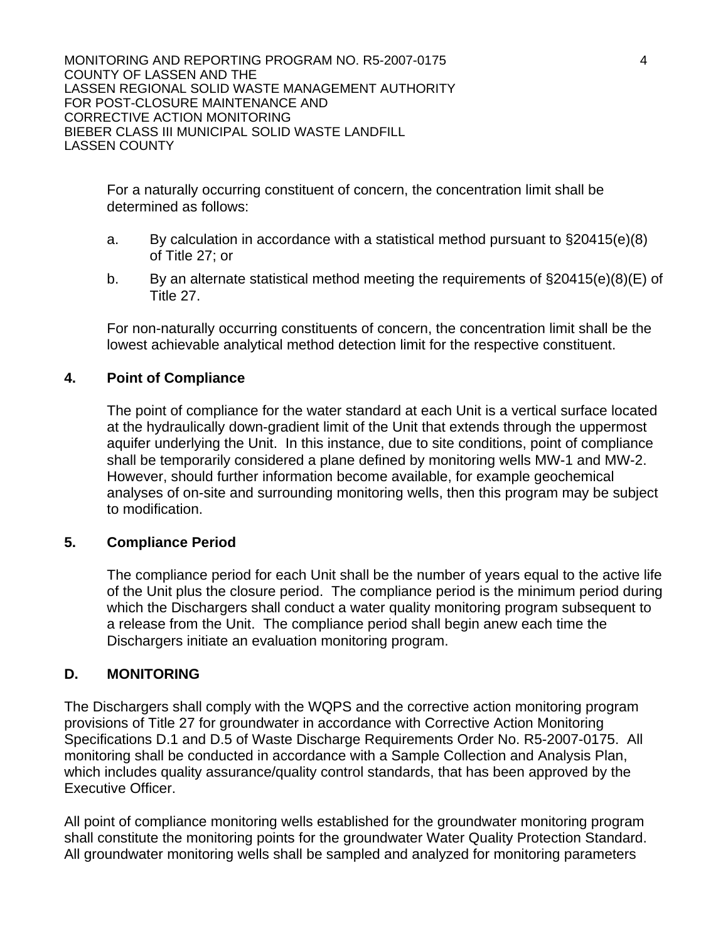For a naturally occurring constituent of concern, the concentration limit shall be determined as follows:

- a. By calculation in accordance with a statistical method pursuant to §20415(e)(8) of Title 27; or
- b. By an alternate statistical method meeting the requirements of §20415(e)(8)(E) of Title 27.

For non-naturally occurring constituents of concern, the concentration limit shall be the lowest achievable analytical method detection limit for the respective constituent.

## **4. Point of Compliance**

The point of compliance for the water standard at each Unit is a vertical surface located at the hydraulically down-gradient limit of the Unit that extends through the uppermost aquifer underlying the Unit. In this instance, due to site conditions, point of compliance shall be temporarily considered a plane defined by monitoring wells MW-1 and MW-2. However, should further information become available, for example geochemical analyses of on-site and surrounding monitoring wells, then this program may be subject to modification.

## **5. Compliance Period**

The compliance period for each Unit shall be the number of years equal to the active life of the Unit plus the closure period. The compliance period is the minimum period during which the Dischargers shall conduct a water quality monitoring program subsequent to a release from the Unit. The compliance period shall begin anew each time the Dischargers initiate an evaluation monitoring program.

## **D. MONITORING**

The Dischargers shall comply with the WQPS and the corrective action monitoring program provisions of Title 27 for groundwater in accordance with Corrective Action Monitoring Specifications D.1 and D.5 of Waste Discharge Requirements Order No. R5-2007-0175. All monitoring shall be conducted in accordance with a Sample Collection and Analysis Plan, which includes quality assurance/quality control standards, that has been approved by the Executive Officer.

All point of compliance monitoring wells established for the groundwater monitoring program shall constitute the monitoring points for the groundwater Water Quality Protection Standard. All groundwater monitoring wells shall be sampled and analyzed for monitoring parameters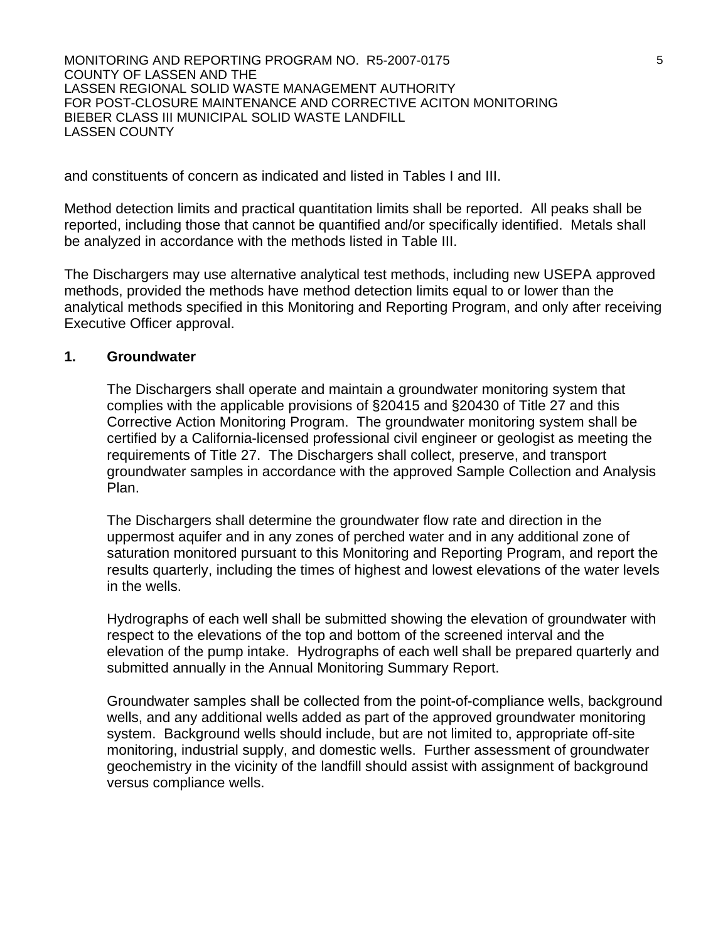and constituents of concern as indicated and listed in Tables I and III.

Method detection limits and practical quantitation limits shall be reported. All peaks shall be reported, including those that cannot be quantified and/or specifically identified. Metals shall be analyzed in accordance with the methods listed in Table III.

The Dischargers may use alternative analytical test methods, including new USEPA approved methods, provided the methods have method detection limits equal to or lower than the analytical methods specified in this Monitoring and Reporting Program, and only after receiving Executive Officer approval.

### **1. Groundwater**

The Dischargers shall operate and maintain a groundwater monitoring system that complies with the applicable provisions of §20415 and §20430 of Title 27 and this Corrective Action Monitoring Program. The groundwater monitoring system shall be certified by a California-licensed professional civil engineer or geologist as meeting the requirements of Title 27. The Dischargers shall collect, preserve, and transport groundwater samples in accordance with the approved Sample Collection and Analysis Plan.

The Dischargers shall determine the groundwater flow rate and direction in the uppermost aquifer and in any zones of perched water and in any additional zone of saturation monitored pursuant to this Monitoring and Reporting Program, and report the results quarterly, including the times of highest and lowest elevations of the water levels in the wells.

Hydrographs of each well shall be submitted showing the elevation of groundwater with respect to the elevations of the top and bottom of the screened interval and the elevation of the pump intake. Hydrographs of each well shall be prepared quarterly and submitted annually in the Annual Monitoring Summary Report.

Groundwater samples shall be collected from the point-of-compliance wells, background wells, and any additional wells added as part of the approved groundwater monitoring system. Background wells should include, but are not limited to, appropriate off-site monitoring, industrial supply, and domestic wells. Further assessment of groundwater geochemistry in the vicinity of the landfill should assist with assignment of background versus compliance wells.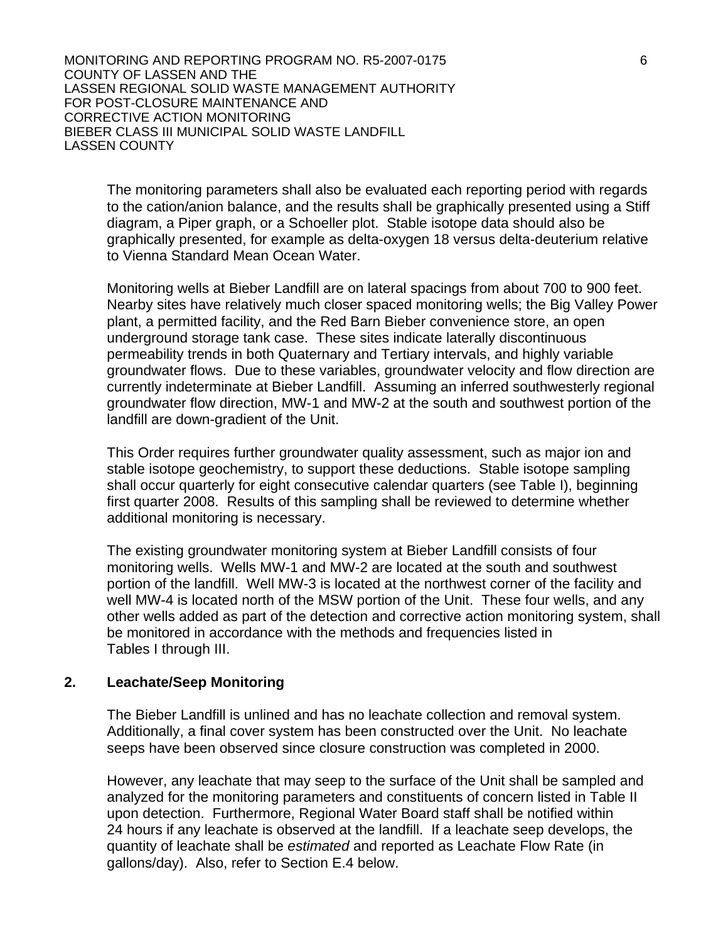The monitoring parameters shall also be evaluated each reporting period with regards to the cation/anion balance, and the results shall be graphically presented using a Stiff diagram, a Piper graph, or a Schoeller plot. Stable isotope data should also be graphically presented, for example as delta-oxygen 18 versus delta-deuterium relative to Vienna Standard Mean Ocean Water.

Monitoring wells at Bieber Landfill are on lateral spacings from about 700 to 900 feet. Nearby sites have relatively much closer spaced monitoring wells; the Big Valley Power plant, a permitted facility, and the Red Barn Bieber convenience store, an open underground storage tank case. These sites indicate laterally discontinuous permeability trends in both Quaternary and Tertiary intervals, and highly variable groundwater flows. Due to these variables, groundwater velocity and flow direction are currently indeterminate at Bieber Landfill. Assuming an inferred southwesterly regional groundwater flow direction, MW-1 and MW-2 at the south and southwest portion of the landfill are down-gradient of the Unit.

This Order requires further groundwater quality assessment, such as major ion and stable isotope geochemistry, to support these deductions. Stable isotope sampling shall occur quarterly for eight consecutive calendar quarters (see Table I), beginning first quarter 2008. Results of this sampling shall be reviewed to determine whether additional monitoring is necessary.

The existing groundwater monitoring system at Bieber Landfill consists of four monitoring wells. Wells MW-1 and MW-2 are located at the south and southwest portion of the landfill. Well MW-3 is located at the northwest corner of the facility and well MW-4 is located north of the MSW portion of the Unit. These four wells, and any other wells added as part of the detection and corrective action monitoring system, shall be monitored in accordance with the methods and frequencies listed in Tables I through III.

### **2. Leachate/Seep Monitoring**

The Bieber Landfill is unlined and has no leachate collection and removal system. Additionally, a final cover system has been constructed over the Unit. No leachate seeps have been observed since closure construction was completed in 2000.

However, any leachate that may seep to the surface of the Unit shall be sampled and analyzed for the monitoring parameters and constituents of concern listed in Table II upon detection. Furthermore, Regional Water Board staff shall be notified within 24 hours if any leachate is observed at the landfill. If a leachate seep develops, the quantity of leachate shall be *estimated* and reported as Leachate Flow Rate (in gallons/day). Also, refer to Section E.4 below.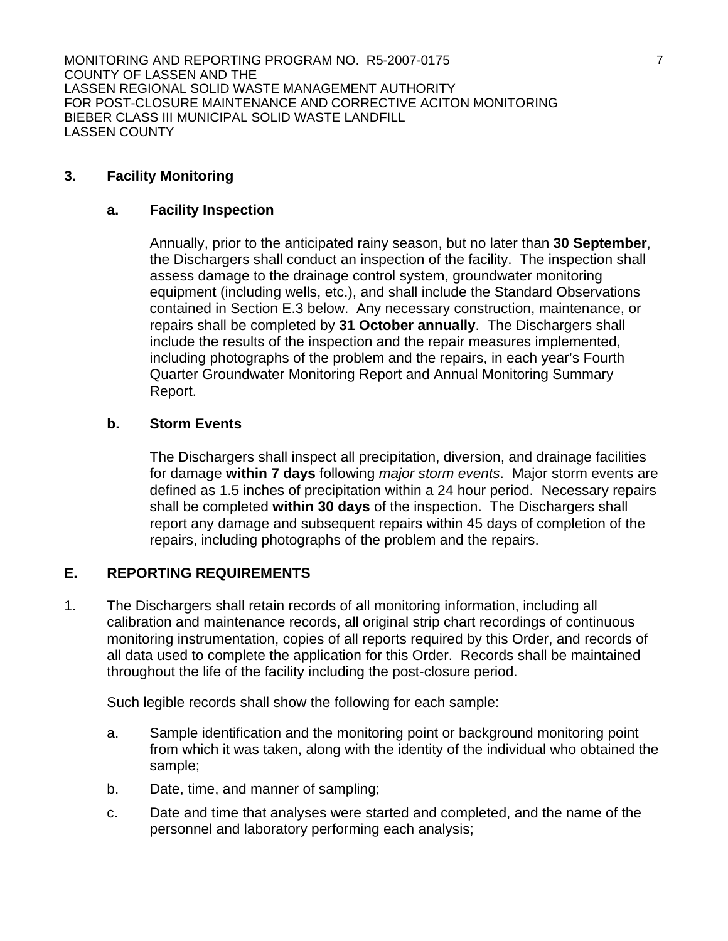### **3. Facility Monitoring**

### **a. Facility Inspection**

Annually, prior to the anticipated rainy season, but no later than **30 September**, the Dischargers shall conduct an inspection of the facility. The inspection shall assess damage to the drainage control system, groundwater monitoring equipment (including wells, etc.), and shall include the Standard Observations contained in Section E.3 below. Any necessary construction, maintenance, or repairs shall be completed by **31 October annually**. The Dischargers shall include the results of the inspection and the repair measures implemented, including photographs of the problem and the repairs, in each year's Fourth Quarter Groundwater Monitoring Report and Annual Monitoring Summary Report.

### **b. Storm Events**

The Dischargers shall inspect all precipitation, diversion, and drainage facilities for damage **within 7 days** following *major storm events*. Major storm events are defined as 1.5 inches of precipitation within a 24 hour period. Necessary repairs shall be completed **within 30 days** of the inspection. The Dischargers shall report any damage and subsequent repairs within 45 days of completion of the repairs, including photographs of the problem and the repairs.

## **E. REPORTING REQUIREMENTS**

1. The Dischargers shall retain records of all monitoring information, including all calibration and maintenance records, all original strip chart recordings of continuous monitoring instrumentation, copies of all reports required by this Order, and records of all data used to complete the application for this Order. Records shall be maintained throughout the life of the facility including the post-closure period.

Such legible records shall show the following for each sample:

- a. Sample identification and the monitoring point or background monitoring point from which it was taken, along with the identity of the individual who obtained the sample;
- b. Date, time, and manner of sampling;
- c. Date and time that analyses were started and completed, and the name of the personnel and laboratory performing each analysis;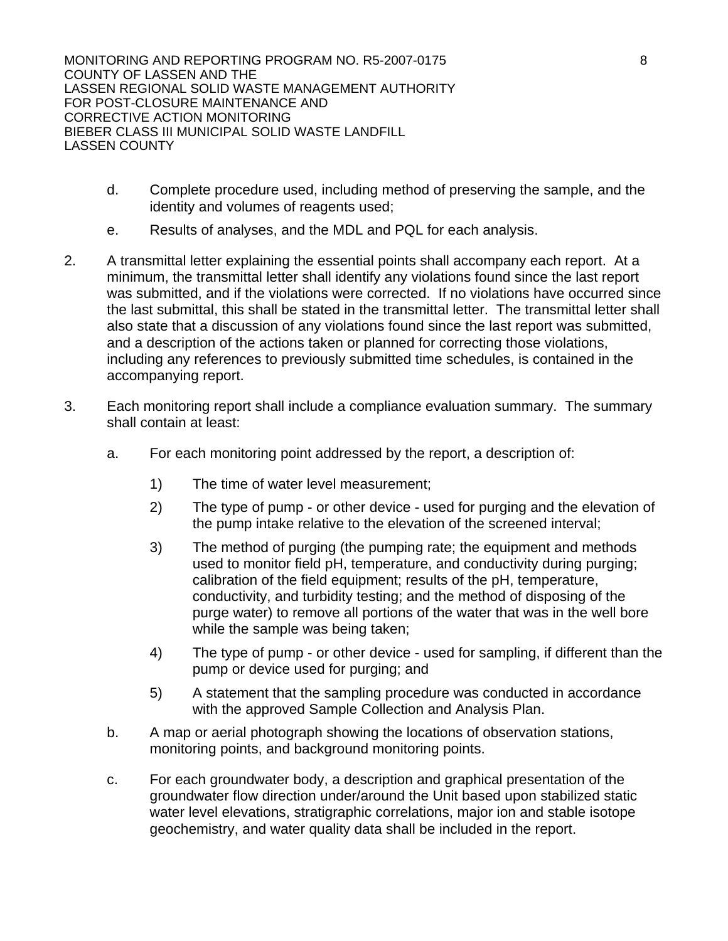- d. Complete procedure used, including method of preserving the sample, and the identity and volumes of reagents used;
- e. Results of analyses, and the MDL and PQL for each analysis.
- 2. A transmittal letter explaining the essential points shall accompany each report. At a minimum, the transmittal letter shall identify any violations found since the last report was submitted, and if the violations were corrected. If no violations have occurred since the last submittal, this shall be stated in the transmittal letter. The transmittal letter shall also state that a discussion of any violations found since the last report was submitted, and a description of the actions taken or planned for correcting those violations, including any references to previously submitted time schedules, is contained in the accompanying report.
- 3. Each monitoring report shall include a compliance evaluation summary. The summary shall contain at least:
	- a. For each monitoring point addressed by the report, a description of:
		- 1) The time of water level measurement;
		- 2) The type of pump or other device used for purging and the elevation of the pump intake relative to the elevation of the screened interval;
		- 3) The method of purging (the pumping rate; the equipment and methods used to monitor field pH, temperature, and conductivity during purging; calibration of the field equipment; results of the pH, temperature, conductivity, and turbidity testing; and the method of disposing of the purge water) to remove all portions of the water that was in the well bore while the sample was being taken;
		- 4) The type of pump or other device used for sampling, if different than the pump or device used for purging; and
		- 5) A statement that the sampling procedure was conducted in accordance with the approved Sample Collection and Analysis Plan.
	- b. A map or aerial photograph showing the locations of observation stations, monitoring points, and background monitoring points.
	- c. For each groundwater body, a description and graphical presentation of the groundwater flow direction under/around the Unit based upon stabilized static water level elevations, stratigraphic correlations, major ion and stable isotope geochemistry, and water quality data shall be included in the report.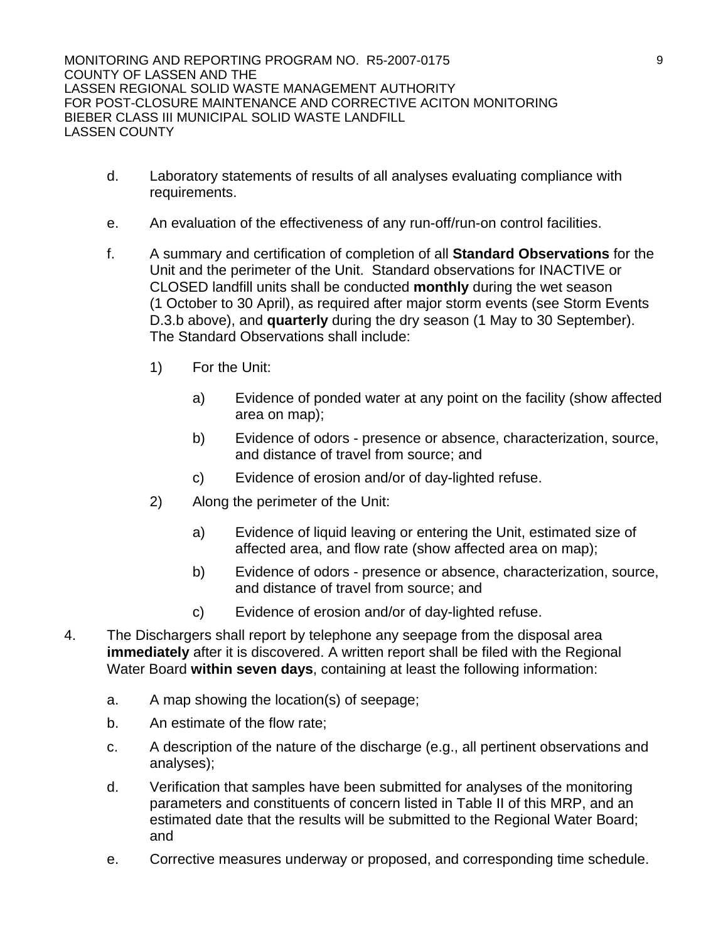BIEBER CLASS III MUNICIPAL SOLID WASTE LANDFILL LASSEN COUNTY

- d. Laboratory statements of results of all analyses evaluating compliance with requirements.
- e. An evaluation of the effectiveness of any run-off/run-on control facilities.
- f. A summary and certification of completion of all **Standard Observations** for the Unit and the perimeter of the Unit. Standard observations for INACTIVE or CLOSED landfill units shall be conducted **monthly** during the wet season (1 October to 30 April), as required after major storm events (see Storm Events D.3.b above), and **quarterly** during the dry season (1 May to 30 September). The Standard Observations shall include:
	- 1) For the Unit:
		- a) Evidence of ponded water at any point on the facility (show affected area on map);
		- b) Evidence of odors presence or absence, characterization, source, and distance of travel from source; and
		- c) Evidence of erosion and/or of day-lighted refuse.
	- 2) Along the perimeter of the Unit:
		- a) Evidence of liquid leaving or entering the Unit, estimated size of affected area, and flow rate (show affected area on map);
		- b) Evidence of odors presence or absence, characterization, source, and distance of travel from source; and
		- c) Evidence of erosion and/or of day-lighted refuse.
- 4. The Dischargers shall report by telephone any seepage from the disposal area **immediately** after it is discovered. A written report shall be filed with the Regional Water Board **within seven days**, containing at least the following information:
	- a. A map showing the location(s) of seepage;
	- b. An estimate of the flow rate;
	- c. A description of the nature of the discharge (e.g., all pertinent observations and analyses);
	- d. Verification that samples have been submitted for analyses of the monitoring parameters and constituents of concern listed in Table II of this MRP, and an estimated date that the results will be submitted to the Regional Water Board; and
	- e. Corrective measures underway or proposed, and corresponding time schedule.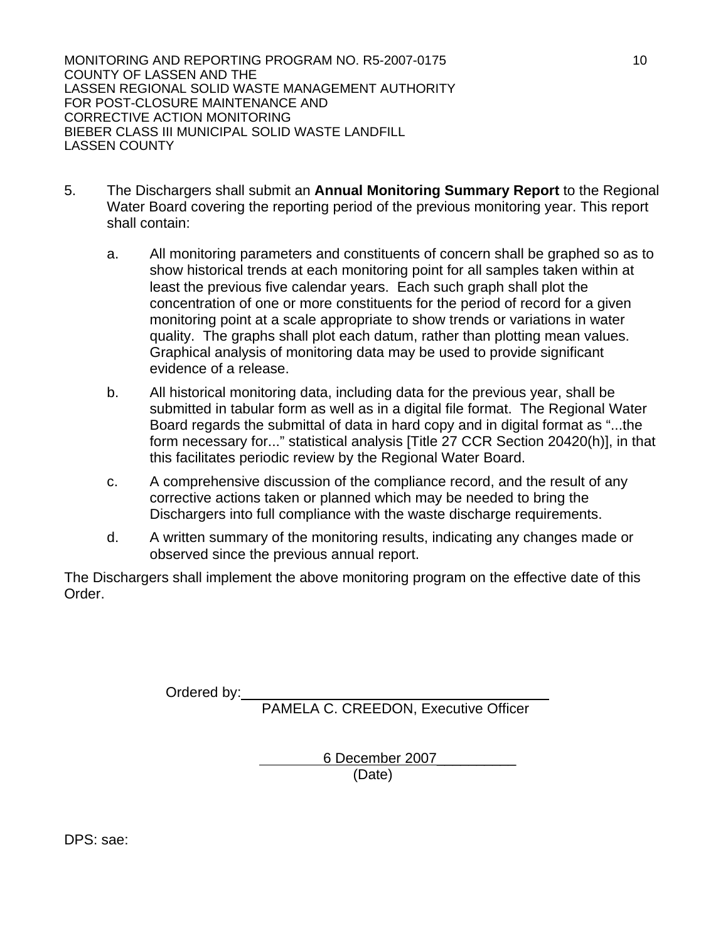- 5. The Dischargers shall submit an **Annual Monitoring Summary Report** to the Regional Water Board covering the reporting period of the previous monitoring year. This report shall contain:
	- a. All monitoring parameters and constituents of concern shall be graphed so as to show historical trends at each monitoring point for all samples taken within at least the previous five calendar years. Each such graph shall plot the concentration of one or more constituents for the period of record for a given monitoring point at a scale appropriate to show trends or variations in water quality. The graphs shall plot each datum, rather than plotting mean values. Graphical analysis of monitoring data may be used to provide significant evidence of a release.
	- b. All historical monitoring data, including data for the previous year, shall be submitted in tabular form as well as in a digital file format. The Regional Water Board regards the submittal of data in hard copy and in digital format as "...the form necessary for..." statistical analysis [Title 27 CCR Section 20420(h)], in that this facilitates periodic review by the Regional Water Board.
	- c. A comprehensive discussion of the compliance record, and the result of any corrective actions taken or planned which may be needed to bring the Dischargers into full compliance with the waste discharge requirements.
	- d. A written summary of the monitoring results, indicating any changes made or observed since the previous annual report.

The Dischargers shall implement the above monitoring program on the effective date of this Order.

Ordered by:

PAMELA C. CREEDON, Executive Officer

6 December 2007\_\_\_\_\_\_\_\_\_\_

(Date)

DPS: sae: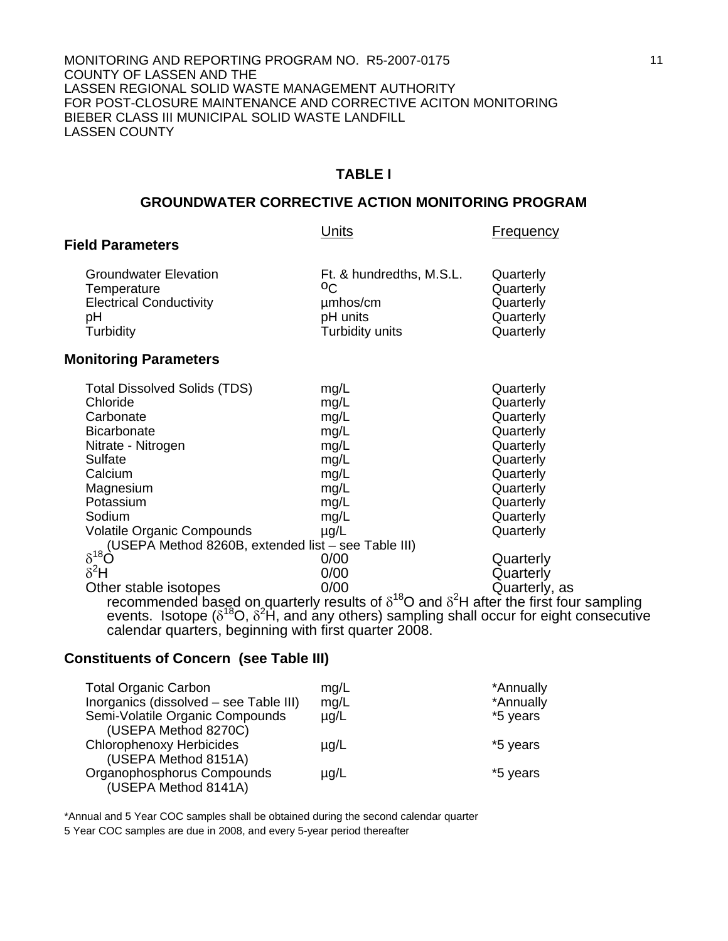#### **TABLE I**

#### **GROUNDWATER CORRECTIVE ACTION MONITORING PROGRAM**

|                                                                                                                                                                                                                                                                                                        | Units                                                                                     | Frequency                                                                                                                                   |
|--------------------------------------------------------------------------------------------------------------------------------------------------------------------------------------------------------------------------------------------------------------------------------------------------------|-------------------------------------------------------------------------------------------|---------------------------------------------------------------------------------------------------------------------------------------------|
| <b>Field Parameters</b>                                                                                                                                                                                                                                                                                |                                                                                           |                                                                                                                                             |
| <b>Groundwater Elevation</b><br>Temperature<br><b>Electrical Conductivity</b><br>рH<br>Turbidity                                                                                                                                                                                                       | Ft. & hundredths, M.S.L.<br>$^{\circ}$<br>umhos/cm<br>pH units<br>Turbidity units         | Quarterly<br>Quarterly<br>Quarterly<br>Quarterly<br>Quarterly                                                                               |
| <b>Monitoring Parameters</b>                                                                                                                                                                                                                                                                           |                                                                                           |                                                                                                                                             |
| <b>Total Dissolved Solids (TDS)</b><br>Chloride<br>Carbonate<br><b>Bicarbonate</b><br>Nitrate - Nitrogen<br>Sulfate<br>Calcium<br>Magnesium<br>Potassium<br>Sodium<br><b>Volatile Organic Compounds</b>                                                                                                | mg/L<br>mg/L<br>mg/L<br>mg/L<br>mg/L<br>mg/L<br>mg/L<br>mg/L<br>mg/L<br>mg/L<br>$\mu$ g/L | Quarterly<br>Quarterly<br>Quarterly<br>Quarterly<br>Quarterly<br>Quarterly<br>Quarterly<br>Quarterly<br>Quarterly<br>Quarterly<br>Quarterly |
| (USEPA Method 8260B, extended list – see Table III)<br>$\delta^{18}$<br>$\delta^2$ H                                                                                                                                                                                                                   | 0/00<br>0/00<br>0/00                                                                      | Quarterly<br>Quarterly                                                                                                                      |
| Other stable isotopes<br>recommended based on quarterly results of $\delta^{18}$ O and $\delta^2$ H after the first four sampling<br>events. Isotope $(\delta^{18}O, \delta^2H)$ , and any others) sampling shall occur for eight consecutive<br>calendar quarters, beginning with first quarter 2008. |                                                                                           | Quarterly, as                                                                                                                               |

# **Constituents of Concern (see Table III)**

| <b>Total Organic Carbon</b>                             | mg/L      | *Annually |
|---------------------------------------------------------|-----------|-----------|
| Inorganics (dissolved - see Table III)                  | mg/L      | *Annually |
| Semi-Volatile Organic Compounds<br>(USEPA Method 8270C) | $\mu$ g/L | *5 years  |
| <b>Chlorophenoxy Herbicides</b><br>(USEPA Method 8151A) | $\mu$ g/L | *5 years  |
| Organophosphorus Compounds<br>(USEPA Method 8141A)      | $\mu$ g/L | *5 years  |

\*Annual and 5 Year COC samples shall be obtained during the second calendar quarter 5 Year COC samples are due in 2008, and every 5-year period thereafter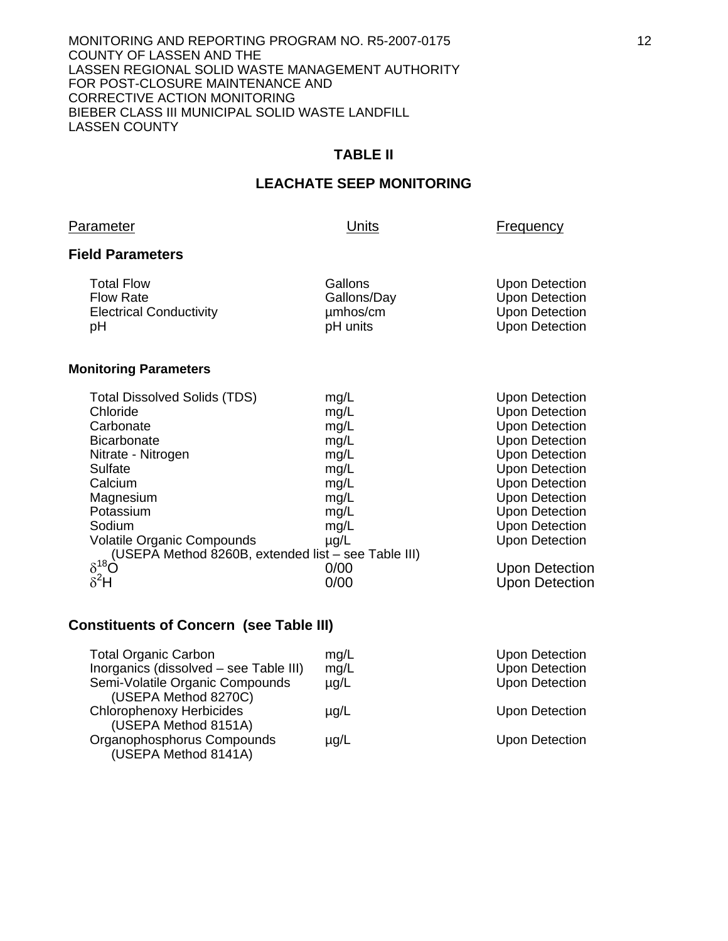### **TABLE II**

#### **LEACHATE SEEP MONITORING**

#### Parameter **Disk Executive Contract Parameter Parameter Frequency**

#### **Field Parameters**

| <b>Total Flow</b>              | Gallons     | Upon Detection |
|--------------------------------|-------------|----------------|
| <b>Flow Rate</b>               | Gallons/Day | Upon Detection |
| <b>Electrical Conductivity</b> | umhos/cm    | Upon Detection |
| рH                             | pH units    | Upon Detection |

### **Monitoring Parameters**

| <b>Total Dissolved Solids (TDS)</b>                 | mg/L      | <b>Upon Detection</b> |
|-----------------------------------------------------|-----------|-----------------------|
| Chloride                                            | mg/L      | <b>Upon Detection</b> |
| Carbonate                                           | mg/L      | <b>Upon Detection</b> |
| <b>Bicarbonate</b>                                  | mg/L      | <b>Upon Detection</b> |
| Nitrate - Nitrogen                                  | mg/L      | <b>Upon Detection</b> |
| Sulfate                                             | mg/L      | <b>Upon Detection</b> |
| Calcium                                             | mg/L      | <b>Upon Detection</b> |
| Magnesium                                           | mg/L      | <b>Upon Detection</b> |
| Potassium                                           | mg/L      | <b>Upon Detection</b> |
| Sodium                                              | mg/L      | <b>Upon Detection</b> |
| <b>Volatile Organic Compounds</b>                   | $\mu$ g/L | <b>Upon Detection</b> |
| (USEPA Method 8260B, extended list – see Table III) |           |                       |
| $\delta^{18}$ Ò                                     | 0/00      | Upon Detection        |
| $\delta^2$ H                                        | 0/00      | Upon Detection        |

### **Constituents of Concern (see Table III)**

| <b>Total Organic Carbon</b>                             | mg/L      | <b>Upon Detection</b> |
|---------------------------------------------------------|-----------|-----------------------|
| Inorganics (dissolved - see Table III)                  | mg/L      | <b>Upon Detection</b> |
| Semi-Volatile Organic Compounds<br>(USEPA Method 8270C) | $\mu$ g/L | <b>Upon Detection</b> |
| <b>Chlorophenoxy Herbicides</b><br>(USEPA Method 8151A) | $\mu$ g/L | <b>Upon Detection</b> |
| Organophosphorus Compounds<br>(USEPA Method 8141A)      | $\mu$ g/L | <b>Upon Detection</b> |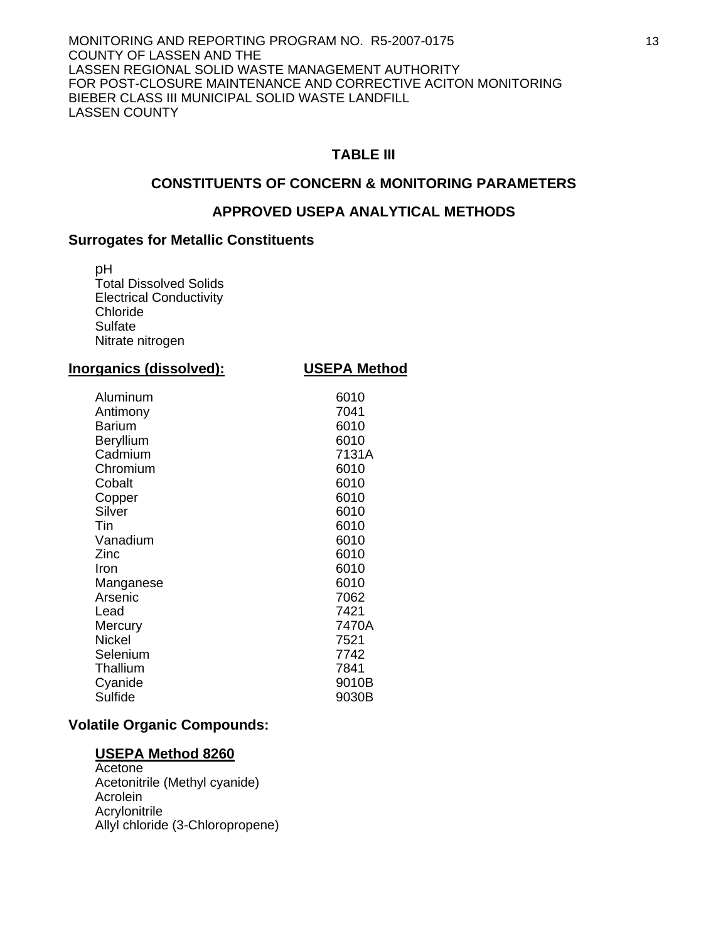### **TABLE III**

### **CONSTITUENTS OF CONCERN & MONITORING PARAMETERS**

#### **APPROVED USEPA ANALYTICAL METHODS**

#### **Surrogates for Metallic Constituents**

pH Total Dissolved Solids Electrical Conductivity Chloride Sulfate Nitrate nitrogen

| Inorganics (dissolved):                                                                                                                                                                                                            | <b>USEPA Method</b>                                                                                                                                                     |
|------------------------------------------------------------------------------------------------------------------------------------------------------------------------------------------------------------------------------------|-------------------------------------------------------------------------------------------------------------------------------------------------------------------------|
| Aluminum<br>Antimony<br>Barium<br>Beryllium<br>Cadmium<br>Chromium<br>Cobalt<br>Copper<br>Silver<br>Tin<br>Vanadium<br>Zinc<br>Iron<br>Manganese<br>Arsenic<br>Lead<br>Mercury<br><b>Nickel</b><br>Selenium<br>Thallium<br>Cyanide | 6010<br>7041<br>6010<br>6010<br>7131A<br>6010<br>6010<br>6010<br>6010<br>6010<br>6010<br>6010<br>6010<br>6010<br>7062<br>7421<br>7470A<br>7521<br>7742<br>7841<br>9010B |
| Sulfide                                                                                                                                                                                                                            | 9030B                                                                                                                                                                   |

### **Volatile Organic Compounds:**

#### **USEPA Method 8260**

 Acetone Acetonitrile (Methyl cyanide) **Acrolein Acrylonitrile** Allyl chloride (3-Chloropropene)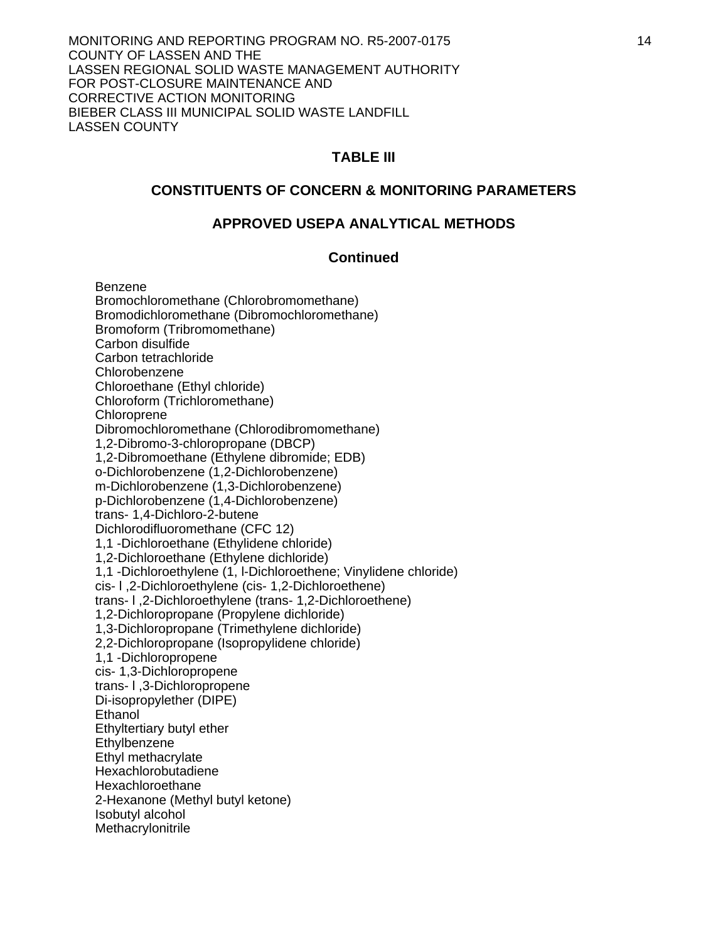#### **TABLE III**

#### **CONSTITUENTS OF CONCERN & MONITORING PARAMETERS**

### **APPROVED USEPA ANALYTICAL METHODS**

### **Continued**

 Benzene Bromochloromethane (Chlorobromomethane) Bromodichloromethane (Dibromochloromethane) Bromoform (Tribromomethane) Carbon disulfide Carbon tetrachloride Chlorobenzene Chloroethane (Ethyl chloride) Chloroform (Trichloromethane) Chloroprene Dibromochloromethane (Chlorodibromomethane) 1,2-Dibromo-3-chloropropane (DBCP) 1,2-Dibromoethane (Ethylene dibromide; EDB) o-Dichlorobenzene (1,2-Dichlorobenzene) m-Dichlorobenzene (1,3-Dichlorobenzene) p-Dichlorobenzene (1,4-Dichlorobenzene) trans- 1,4-Dichloro-2-butene Dichlorodifluoromethane (CFC 12) 1,1 -Dichloroethane (Ethylidene chloride) 1,2-Dichloroethane (Ethylene dichloride) 1,1 -Dichloroethylene (1, l-Dichloroethene; Vinylidene chloride) cis- l ,2-Dichloroethylene (cis- 1,2-Dichloroethene) trans- l ,2-Dichloroethylene (trans- 1,2-Dichloroethene) 1,2-Dichloropropane (Propylene dichloride) 1,3-Dichloropropane (Trimethylene dichloride) 2,2-Dichloropropane (Isopropylidene chloride) 1,1 -Dichloropropene cis- 1,3-Dichloropropene trans- l ,3-Dichloropropene Di-isopropylether (DIPE) **Ethanol**  Ethyltertiary butyl ether **Ethylbenzene**  Ethyl methacrylate Hexachlorobutadiene Hexachloroethane 2-Hexanone (Methyl butyl ketone) Isobutyl alcohol **Methacrylonitrile**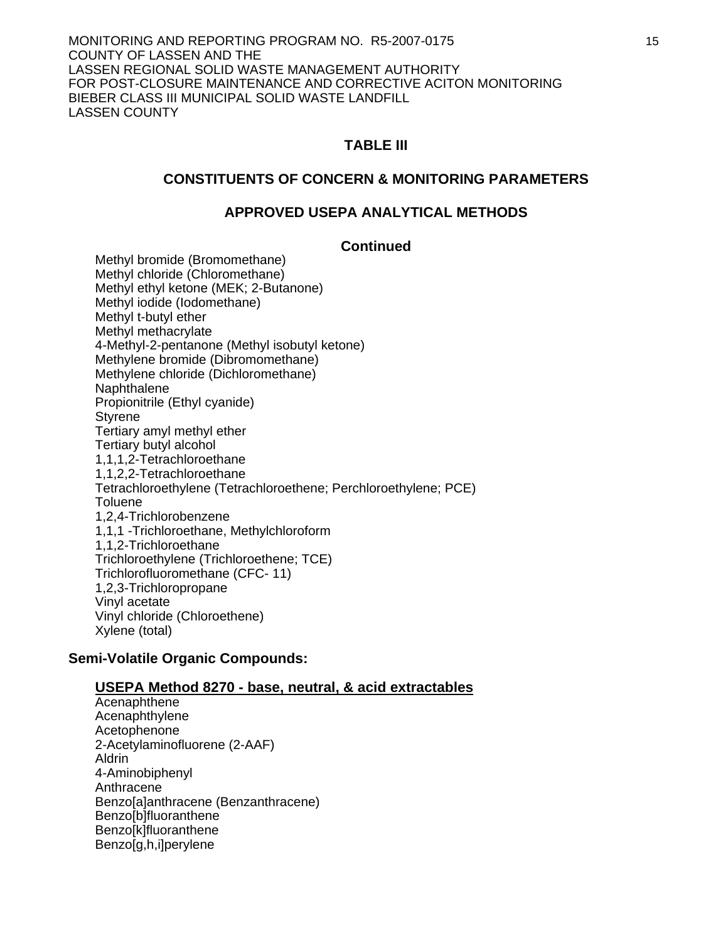### **TABLE III**

### **CONSTITUENTS OF CONCERN & MONITORING PARAMETERS**

### **APPROVED USEPA ANALYTICAL METHODS**

#### **Continued**

 Methyl bromide (Bromomethane) Methyl chloride (Chloromethane) Methyl ethyl ketone (MEK; 2-Butanone) Methyl iodide (Iodomethane) Methyl t-butyl ether Methyl methacrylate 4-Methyl-2-pentanone (Methyl isobutyl ketone) Methylene bromide (Dibromomethane) Methylene chloride (Dichloromethane) Naphthalene Propionitrile (Ethyl cyanide) Styrene Tertiary amyl methyl ether Tertiary butyl alcohol 1,1,1,2-Tetrachloroethane 1,1,2,2-Tetrachloroethane Tetrachloroethylene (Tetrachloroethene; Perchloroethylene; PCE) Toluene 1,2,4-Trichlorobenzene 1,1,1 -Trichloroethane, Methylchloroform 1,1,2-Trichloroethane Trichloroethylene (Trichloroethene; TCE) Trichlorofluoromethane (CFC- 11) 1,2,3-Trichloropropane Vinyl acetate Vinyl chloride (Chloroethene) Xylene (total)

### **Semi-Volatile Organic Compounds:**

### **USEPA Method 8270 - base, neutral, & acid extractables**

 Acenaphthene Acenaphthylene Acetophenone 2-Acetylaminofluorene (2-AAF) Aldrin 4-Aminobiphenyl Anthracene Benzo[a]anthracene (Benzanthracene) Benzo[b]fluoranthene Benzo[k]fluoranthene Benzo[g,h,i]perylene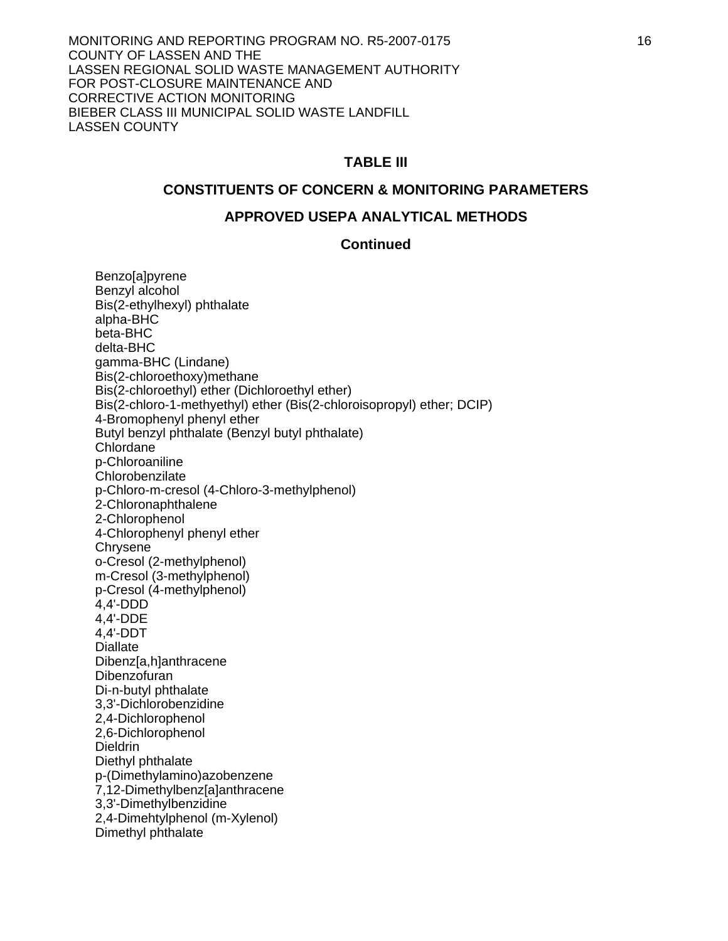## **TABLE III**

#### **CONSTITUENTS OF CONCERN & MONITORING PARAMETERS**

#### **APPROVED USEPA ANALYTICAL METHODS**

#### **Continued**

**Benzo[a]pyrene**  Benzyl alcohol Bis(2-ethylhexyl) phthalate alpha-BHC beta-BHC delta-BHC gamma-BHC (Lindane) Bis(2-chloroethoxy)methane Bis(2-chloroethyl) ether (Dichloroethyl ether) Bis(2-chloro-1-methyethyl) ether (Bis(2-chloroisopropyl) ether; DCIP) 4-Bromophenyl phenyl ether Butyl benzyl phthalate (Benzyl butyl phthalate) Chlordane<sup>1</sup> p-Chloroaniline **Chlorobenzilate** p-Chloro-m-cresol (4-Chloro-3-methylphenol) 2-Chloronaphthalene 2-Chlorophenol 4-Chlorophenyl phenyl ether **Chrysene** o-Cresol (2-methylphenol) m-Cresol (3-methylphenol) p-Cresol (4-methylphenol) 4,4'-DDD 4,4'-DDE 4,4'-DDT **Diallate**  Dibenz[a,h]anthracene Dibenzofuran Di-n-butyl phthalate 3,3'-Dichlorobenzidine 2,4-Dichlorophenol 2,6-Dichlorophenol **Dieldrin**  Diethyl phthalate p-(Dimethylamino)azobenzene 7,12-Dimethylbenz[a]anthracene 3,3'-Dimethylbenzidine 2,4-Dimehtylphenol (m-Xylenol) Dimethyl phthalate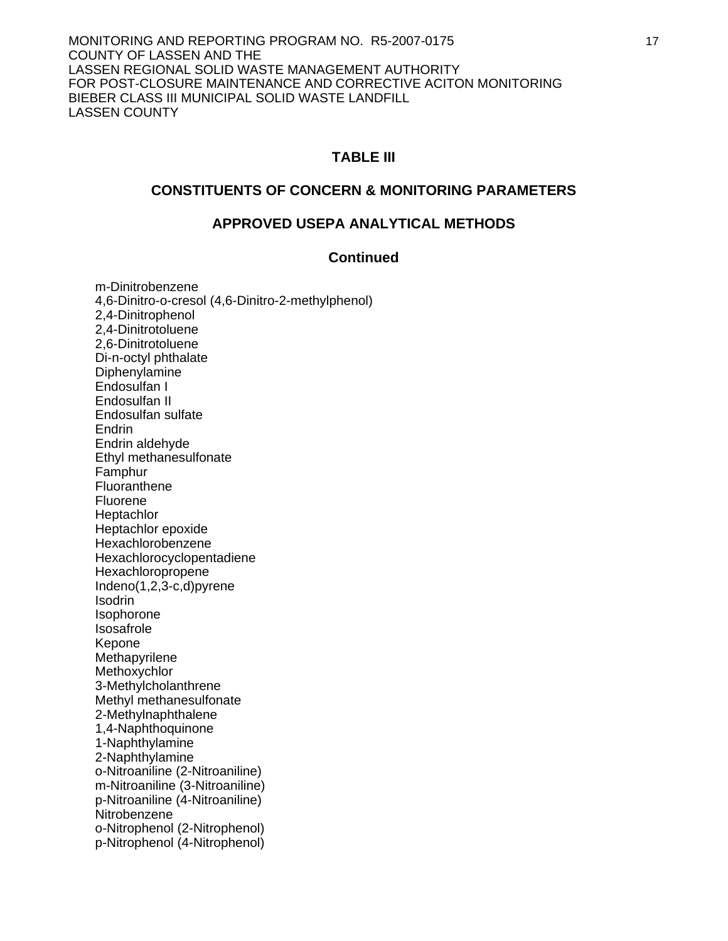### **TABLE III**

### **CONSTITUENTS OF CONCERN & MONITORING PARAMETERS**

### **APPROVED USEPA ANALYTICAL METHODS**

#### **Continued**

 m-Dinitrobenzene 4,6-Dinitro-o-cresol (4,6-Dinitro-2-methylphenol) 2,4-Dinitrophenol 2,4-Dinitrotoluene 2,6-Dinitrotoluene Di-n-octyl phthalate Diphenylamine Endosulfan I Endosulfan II Endosulfan sulfate Endrin Endrin aldehyde Ethyl methanesulfonate Famphur Fluoranthene Fluorene **Heptachlor**  Heptachlor epoxide Hexachlorobenzene Hexachlorocyclopentadiene Hexachloropropene Indeno(1,2,3-c,d)pyrene Isodrin Isophorone Isosafrole Kepone Methapyrilene Methoxychlor 3-Methylcholanthrene Methyl methanesulfonate 2-Methylnaphthalene 1,4-Naphthoquinone 1-Naphthylamine 2-Naphthylamine o-Nitroaniline (2-Nitroaniline) m-Nitroaniline (3-Nitroaniline) p-Nitroaniline (4-Nitroaniline) **Nitrobenzene**  o-Nitrophenol (2-Nitrophenol) p-Nitrophenol (4-Nitrophenol)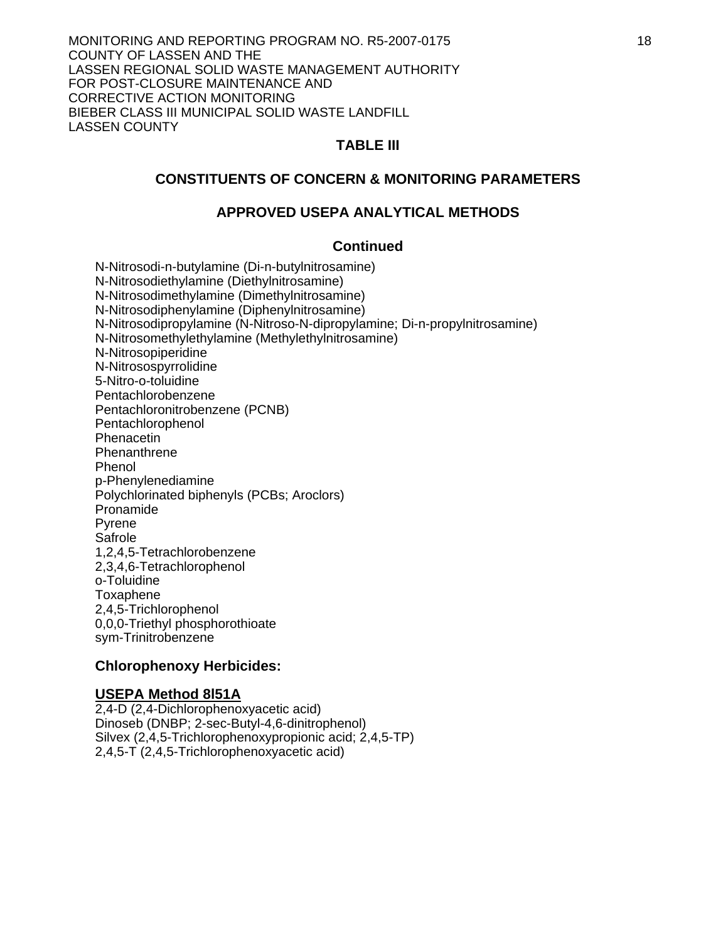### **TABLE III**

### **CONSTITUENTS OF CONCERN & MONITORING PARAMETERS**

#### **APPROVED USEPA ANALYTICAL METHODS**

#### **Continued**

 N-Nitrosodi-n-butylamine (Di-n-butylnitrosamine) N-Nitrosodiethylamine (Diethylnitrosamine) N-Nitrosodimethylamine (Dimethylnitrosamine) N-Nitrosodiphenylamine (Diphenylnitrosamine) N-Nitrosodipropylamine (N-Nitroso-N-dipropylamine; Di-n-propylnitrosamine) N-Nitrosomethylethylamine (Methylethylnitrosamine) N-Nitrosopiperidine N-Nitrosospyrrolidine 5-Nitro-o-toluidine Pentachlorobenzene Pentachloronitrobenzene (PCNB) Pentachlorophenol **Phenacetin Phenanthrene** Phenol p-Phenylenediamine Polychlorinated biphenyls (PCBs; Aroclors) Pronamide Pyrene **Safrole** 1,2,4,5-Tetrachlorobenzene 2,3,4,6-Tetrachlorophenol o-Toluidine Toxaphene 2,4,5-Trichlorophenol 0,0,0-Triethyl phosphorothioate sym-Trinitrobenzene

#### **Chlorophenoxy Herbicides:**

#### **USEPA Method 8l51A**

2,4-D (2,4-Dichlorophenoxyacetic acid) Dinoseb (DNBP; 2-sec-Butyl-4,6-dinitrophenol) Silvex (2,4,5-Trichlorophenoxypropionic acid; 2,4,5-TP) 2,4,5-T (2,4,5-Trichlorophenoxyacetic acid)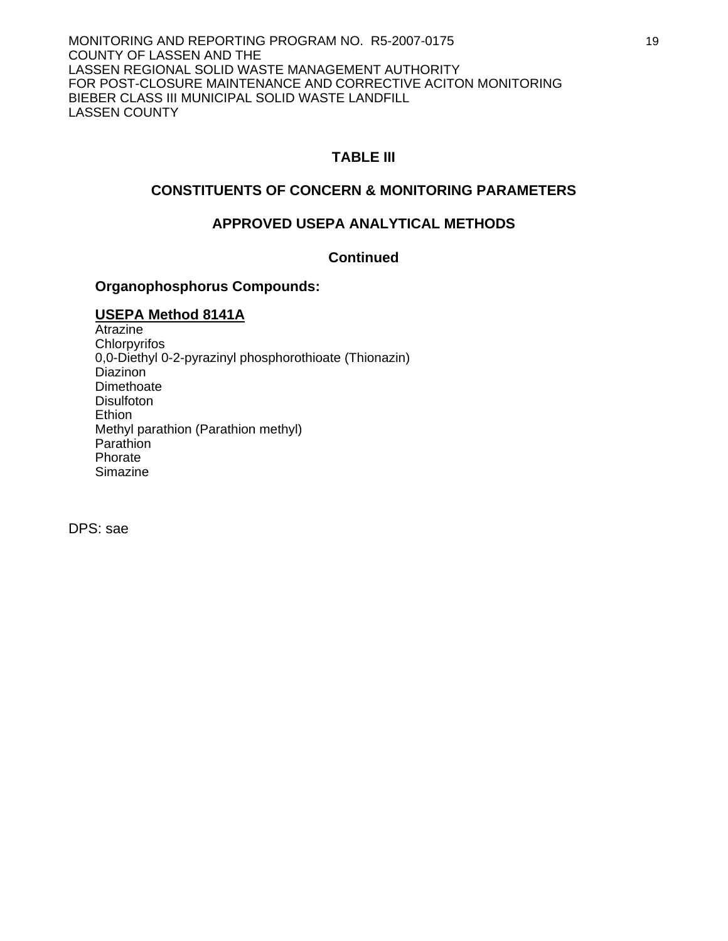19

MONITORING AND REPORTING PROGRAM NO. R5-2007-0175 COUNTY OF LASSEN AND THE LASSEN REGIONAL SOLID WASTE MANAGEMENT AUTHORITY FOR POST-CLOSURE MAINTENANCE AND CORRECTIVE ACITON MONITORING BIEBER CLASS III MUNICIPAL SOLID WASTE LANDFILL LASSEN COUNTY

# **TABLE III**

## **CONSTITUENTS OF CONCERN & MONITORING PARAMETERS**

## **APPROVED USEPA ANALYTICAL METHODS**

## **Continued**

### **Organophosphorus Compounds:**

### **USEPA Method 8141A**

Atrazine **Chlorpyrifos** 0,0-Diethyl 0-2-pyrazinyl phosphorothioate (Thionazin) Diazinon **Dimethoate Disulfoton Ethion**  Methyl parathion (Parathion methyl) Parathion Phorate **Simazine** 

DPS: sae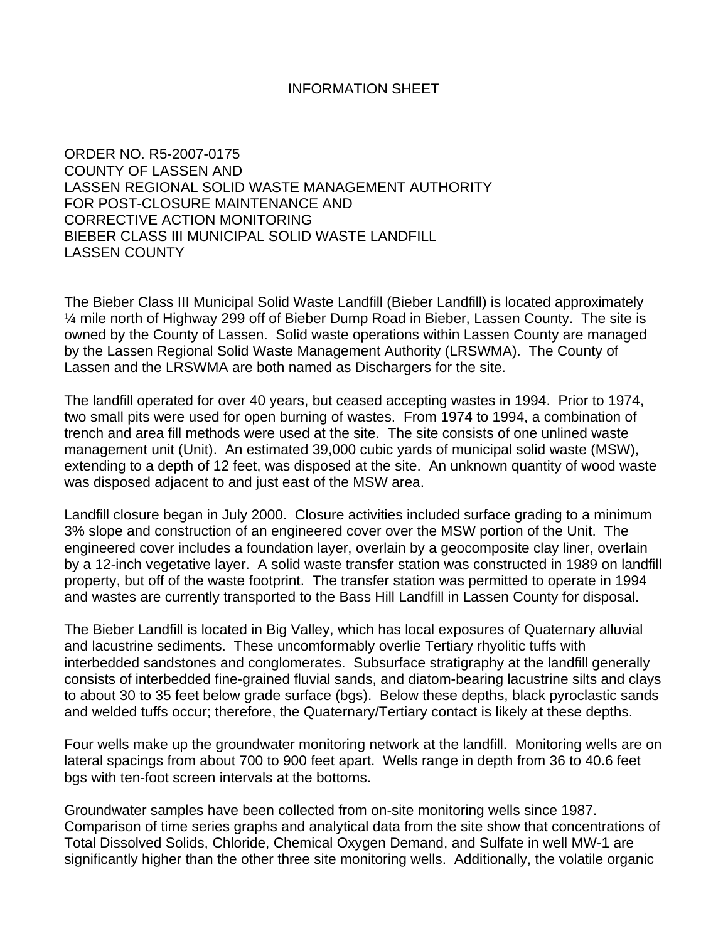### INFORMATION SHEET

ORDER NO. R5-2007-0175 COUNTY OF LASSEN AND LASSEN REGIONAL SOLID WASTE MANAGEMENT AUTHORITY FOR POST-CLOSURE MAINTENANCE AND CORRECTIVE ACTION MONITORING BIEBER CLASS III MUNICIPAL SOLID WASTE LANDFILL LASSEN COUNTY

The Bieber Class III Municipal Solid Waste Landfill (Bieber Landfill) is located approximately ¼ mile north of Highway 299 off of Bieber Dump Road in Bieber, Lassen County. The site is owned by the County of Lassen. Solid waste operations within Lassen County are managed by the Lassen Regional Solid Waste Management Authority (LRSWMA). The County of Lassen and the LRSWMA are both named as Dischargers for the site.

The landfill operated for over 40 years, but ceased accepting wastes in 1994. Prior to 1974, two small pits were used for open burning of wastes. From 1974 to 1994, a combination of trench and area fill methods were used at the site. The site consists of one unlined waste management unit (Unit). An estimated 39,000 cubic yards of municipal solid waste (MSW), extending to a depth of 12 feet, was disposed at the site. An unknown quantity of wood waste was disposed adjacent to and just east of the MSW area.

Landfill closure began in July 2000. Closure activities included surface grading to a minimum 3% slope and construction of an engineered cover over the MSW portion of the Unit. The engineered cover includes a foundation layer, overlain by a geocomposite clay liner, overlain by a 12-inch vegetative layer. A solid waste transfer station was constructed in 1989 on landfill property, but off of the waste footprint. The transfer station was permitted to operate in 1994 and wastes are currently transported to the Bass Hill Landfill in Lassen County for disposal.

The Bieber Landfill is located in Big Valley, which has local exposures of Quaternary alluvial and lacustrine sediments. These uncomformably overlie Tertiary rhyolitic tuffs with interbedded sandstones and conglomerates. Subsurface stratigraphy at the landfill generally consists of interbedded fine-grained fluvial sands, and diatom-bearing lacustrine silts and clays to about 30 to 35 feet below grade surface (bgs). Below these depths, black pyroclastic sands and welded tuffs occur; therefore, the Quaternary/Tertiary contact is likely at these depths.

Four wells make up the groundwater monitoring network at the landfill. Monitoring wells are on lateral spacings from about 700 to 900 feet apart. Wells range in depth from 36 to 40.6 feet bgs with ten-foot screen intervals at the bottoms.

Groundwater samples have been collected from on-site monitoring wells since 1987. Comparison of time series graphs and analytical data from the site show that concentrations of Total Dissolved Solids, Chloride, Chemical Oxygen Demand, and Sulfate in well MW-1 are significantly higher than the other three site monitoring wells. Additionally, the volatile organic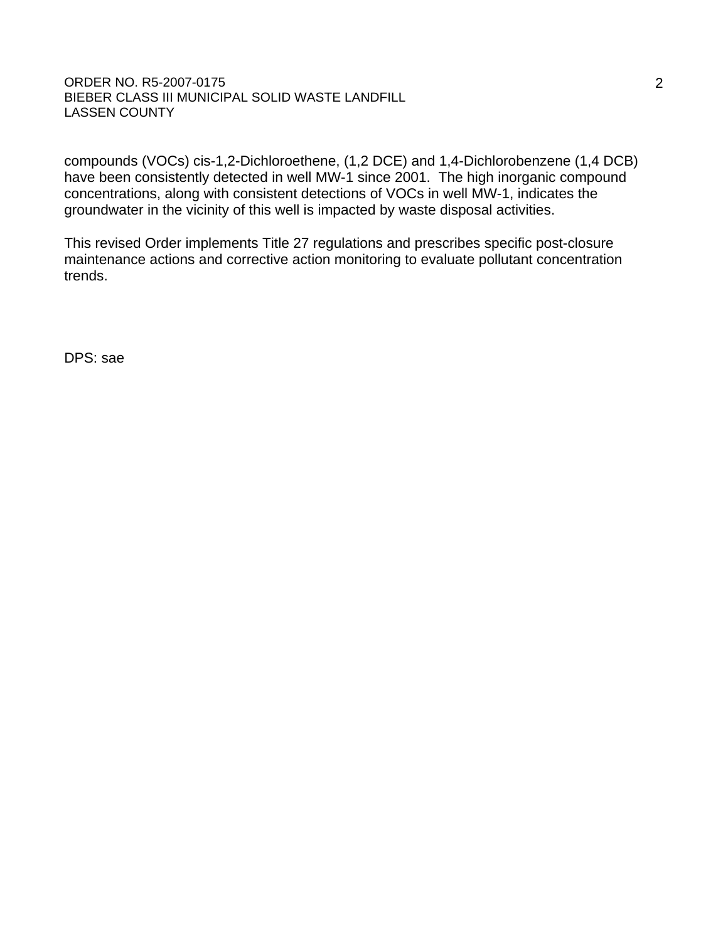#### ORDER NO. R5-2007-0175 BIEBER CLASS III MUNICIPAL SOLID WASTE LANDFILL LASSEN COUNTY

compounds (VOCs) cis-1,2-Dichloroethene, (1,2 DCE) and 1,4-Dichlorobenzene (1,4 DCB) have been consistently detected in well MW-1 since 2001. The high inorganic compound concentrations, along with consistent detections of VOCs in well MW-1, indicates the groundwater in the vicinity of this well is impacted by waste disposal activities.

This revised Order implements Title 27 regulations and prescribes specific post-closure maintenance actions and corrective action monitoring to evaluate pollutant concentration trends.

DPS: sae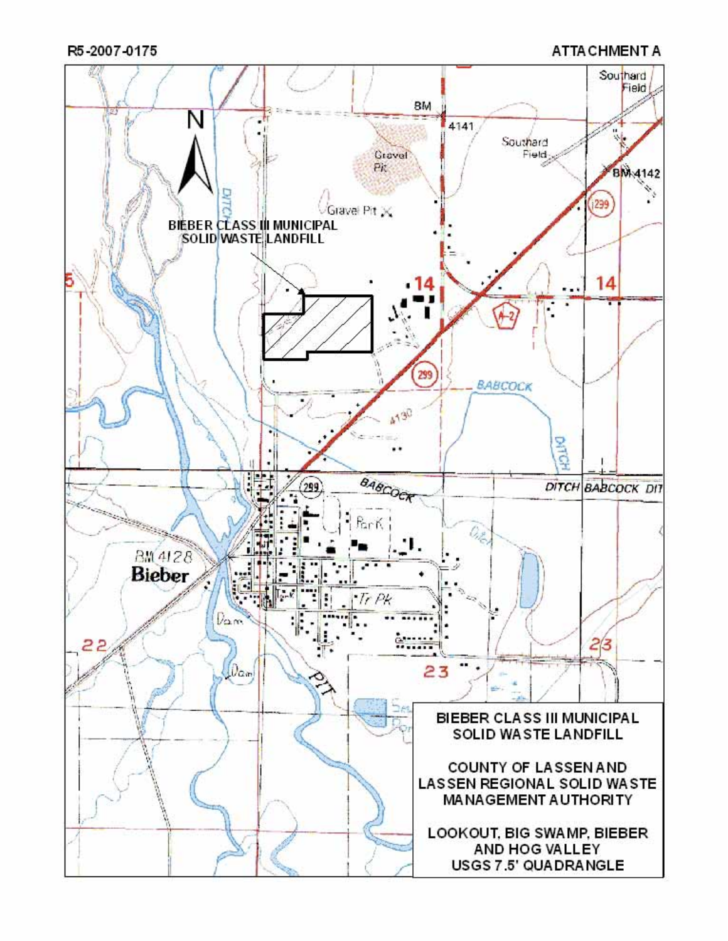R5-2007-0175

**ATTA CHMENT A**